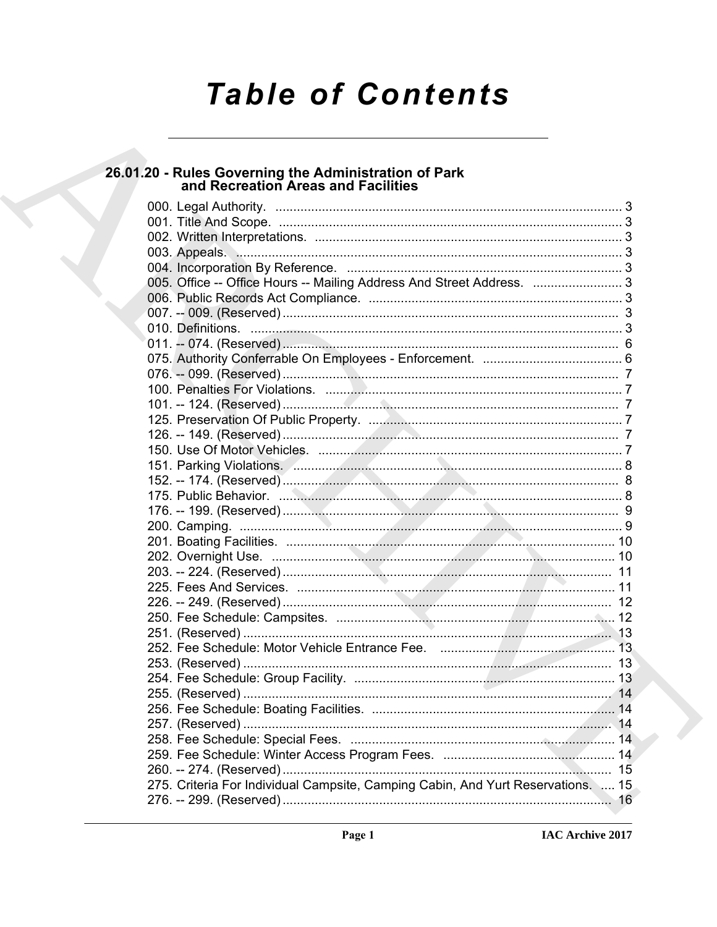# **Table of Contents**

# 26.01.20 - Rules Governing the Administration of Park<br>and Recreation Areas and Facilities

| 003. Appeals. Manual Manual Communication and Communication of 3                 |
|----------------------------------------------------------------------------------|
|                                                                                  |
| 005. Office -- Office Hours -- Mailing Address And Street Address.  3            |
|                                                                                  |
|                                                                                  |
|                                                                                  |
|                                                                                  |
|                                                                                  |
|                                                                                  |
|                                                                                  |
|                                                                                  |
|                                                                                  |
|                                                                                  |
|                                                                                  |
|                                                                                  |
|                                                                                  |
|                                                                                  |
|                                                                                  |
|                                                                                  |
|                                                                                  |
|                                                                                  |
|                                                                                  |
|                                                                                  |
|                                                                                  |
|                                                                                  |
|                                                                                  |
|                                                                                  |
|                                                                                  |
|                                                                                  |
|                                                                                  |
|                                                                                  |
|                                                                                  |
|                                                                                  |
|                                                                                  |
|                                                                                  |
| 275. Criteria For Individual Campsite, Camping Cabin, And Yurt Reservations.  15 |
|                                                                                  |
|                                                                                  |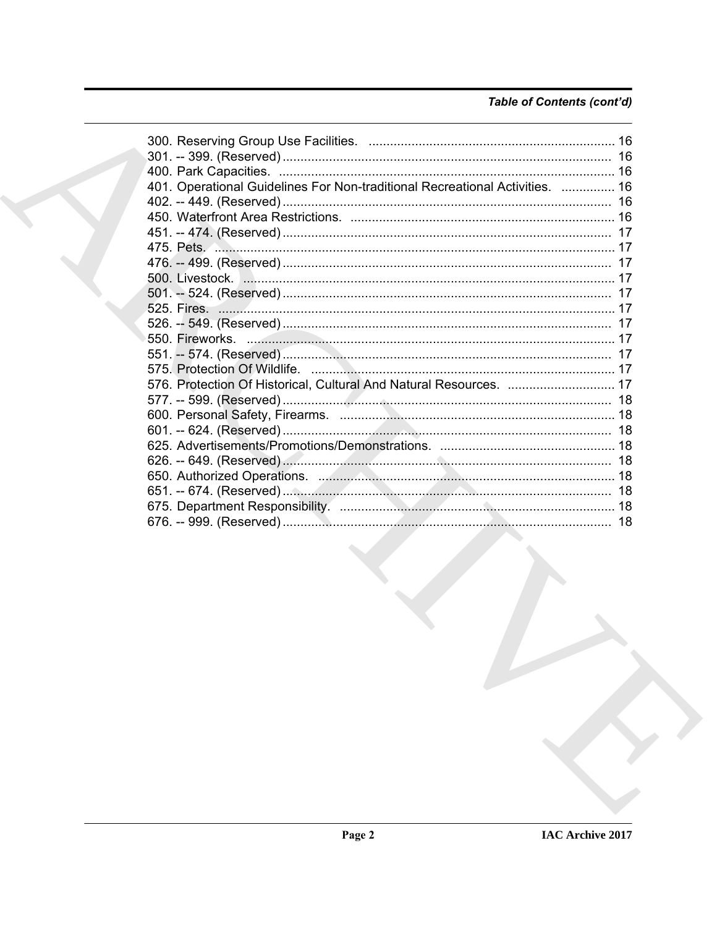# Table of Contents (cont'd)

| 401. Operational Guidelines For Non-traditional Recreational Activities.  16 |  |
|------------------------------------------------------------------------------|--|
|                                                                              |  |
|                                                                              |  |
|                                                                              |  |
|                                                                              |  |
|                                                                              |  |
|                                                                              |  |
|                                                                              |  |
|                                                                              |  |
|                                                                              |  |
|                                                                              |  |
|                                                                              |  |
|                                                                              |  |
| 576. Protection Of Historical, Cultural And Natural Resources.  17           |  |
|                                                                              |  |
|                                                                              |  |
|                                                                              |  |
|                                                                              |  |
|                                                                              |  |
|                                                                              |  |
|                                                                              |  |
|                                                                              |  |
|                                                                              |  |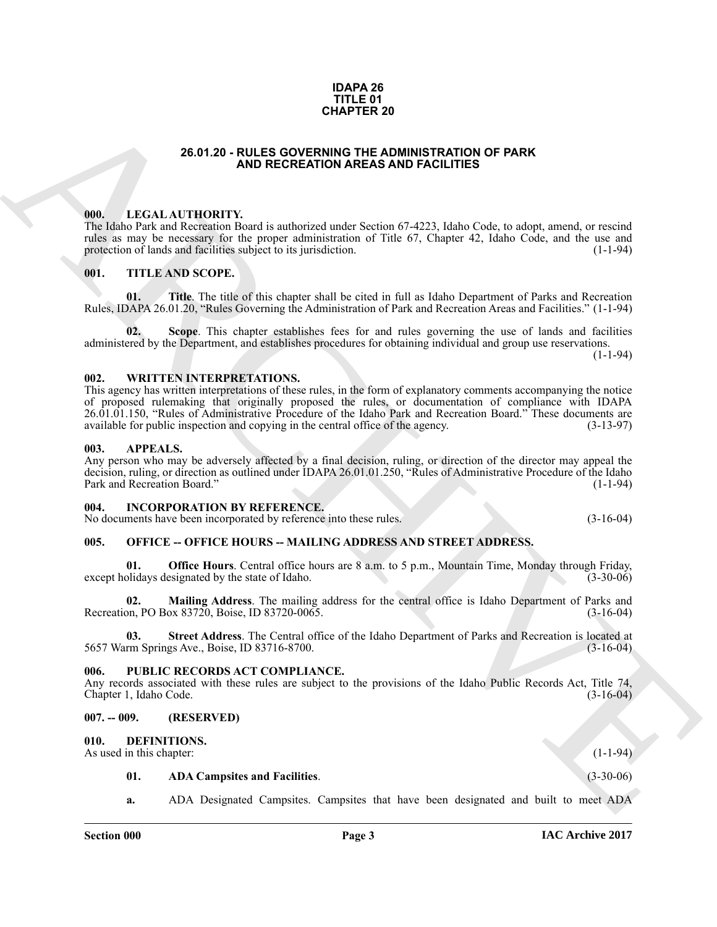#### **IDAPA 26 TITLE 01 CHAPTER 20**

#### **26.01.20 - RULES GOVERNING THE ADMINISTRATION OF PARK AND RECREATION AREAS AND FACILITIES**

#### <span id="page-2-1"></span><span id="page-2-0"></span>**000. LEGAL AUTHORITY.**

The Idaho Park and Recreation Board is authorized under Section 67-4223, Idaho Code, to adopt, amend, or rescind rules as may be necessary for the proper administration of Title 67, Chapter 42, Idaho Code, and the use and protection of lands and facilities subject to its jurisdiction. (1-1-94) protection of lands and facilities subject to its jurisdiction.

#### <span id="page-2-2"></span>**001. TITLE AND SCOPE.**

**01. Title**. The title of this chapter shall be cited in full as Idaho Department of Parks and Recreation Rules, IDAPA 26.01.20, "Rules Governing the Administration of Park and Recreation Areas and Facilities." (1-1-94)

**02. Scope**. This chapter establishes fees for and rules governing the use of lands and facilities administered by the Department, and establishes procedures for obtaining individual and group use reservations.

(1-1-94)

#### <span id="page-2-3"></span>**002. WRITTEN INTERPRETATIONS.**

**26.01.20 - RULES OOYENNING TRAINING OF PARK**<br> **ARCHITECTS**<br> **ARCHITECTS**<br> **ARCHITECTS**<br> **ARCHITECTS**<br> **ARCHITECTS**<br> **ARCHITECTS**<br> **ARCHITECTS**<br> **ARCHITECTS**<br> **ARCHITECTS**<br> **ARCHITECTS**<br> **ARCHITECTS**<br> **ARCHITECTS**<br> **ARCHI** This agency has written interpretations of these rules, in the form of explanatory comments accompanying the notice of proposed rulemaking that originally proposed the rules, or documentation of compliance with IDAPA 26.01.01.150, "Rules of Administrative Procedure of the Idaho Park and Recreation Board." These documents are available for public inspection and copying in the central office of the agency. (3-13-97)

#### <span id="page-2-4"></span>**003. APPEALS.**

Any person who may be adversely affected by a final decision, ruling, or direction of the director may appeal the decision, ruling, or direction as outlined under IDAPA 26.01.01.250, "Rules of Administrative Procedure of the Idaho Park and Recreation Board." (1-1-94)

#### <span id="page-2-5"></span>**004. INCORPORATION BY REFERENCE.**

No documents have been incorporated by reference into these rules. (3-16-04)

#### <span id="page-2-6"></span>005. OFFICE -- OFFICE HOURS -- MAILING ADDRESS AND STREET ADDRESS.

**Office Hours**. Central office hours are 8 a.m. to 5 p.m., Mountain Time, Monday through Friday, esignated by the state of Idaho. (3-30-06) except holidays designated by the state of Idaho.

**02. Mailing Address**. The mailing address for the central office is Idaho Department of Parks and Recreation, PO Box 83720, Boise, ID 83720-0065.

**Street Address**. The Central office of the Idaho Department of Parks and Recreation is located at gs Ave., Boise, ID 83716-8700. 5657 Warm Springs Ave., Boise, ID 83716-8700.

#### <span id="page-2-7"></span>**006. PUBLIC RECORDS ACT COMPLIANCE.**

Any records associated with these rules are subject to the provisions of the Idaho Public Records Act, Title 74, Chapter 1, Idaho Code. (3-16-04) Chapter 1, Idaho Code.

#### <span id="page-2-8"></span>**007. -- 009. (RESERVED)**

#### <span id="page-2-10"></span><span id="page-2-9"></span>**010. DEFINITIONS.**

As used in this chapter: (1-1-94)

# <span id="page-2-11"></span>**01. ADA Campsites and Facilities**. (3-30-06)

**a.** ADA Designated Campsites. Campsites that have been designated and built to meet ADA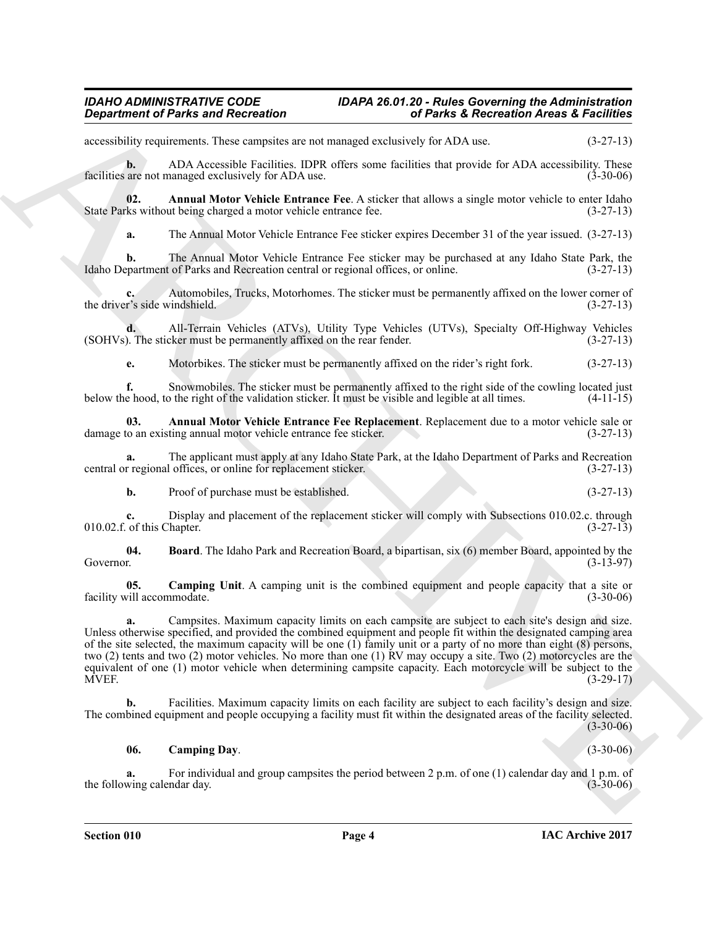accessibility requirements. These campsites are not managed exclusively for ADA use. (3-27-13)

<span id="page-3-1"></span>**b.** ADA Accessible Facilities. IDPR offers some facilities that provide for ADA accessibility. These are not managed exclusively for ADA use. (3-30-06) facilities are not managed exclusively for ADA use.

**02.** Annual Motor Vehicle Entrance Fee. A sticker that allows a single motor vehicle to enter Idaho ks without being charged a motor vehicle entrance fee. (3-27-13) State Parks without being charged a motor vehicle entrance fee.

**a.** The Annual Motor Vehicle Entrance Fee sticker expires December 31 of the year issued. (3-27-13)

**b.** The Annual Motor Vehicle Entrance Fee sticker may be purchased at any Idaho State Park, the partment of Parks and Recreation central or regional offices, or online. (3-27-13) Idaho Department of Parks and Recreation central or regional offices, or online.

**c.** Automobiles, Trucks, Motorhomes. The sticker must be permanently affixed on the lower corner of the driver's side windshield. (3-27-13)

**d.** All-Terrain Vehicles (ATVs), Utility Type Vehicles (UTVs), Specialty Off-Highway Vehicles (SOHVs). The sticker must be permanently affixed on the rear fender.

**e.** Motorbikes. The sticker must be permanently affixed on the rider's right fork. (3-27-13)

**f.** Snowmobiles. The sticker must be permanently affixed to the right side of the cowling located just e hood, to the right of the validation sticker. It must be visible and legible at all times. (4-11-15) below the hood, to the right of the validation sticker. It must be visible and legible at all times.

**03.** Annual Motor Vehicle Entrance Fee Replacement. Replacement due to a motor vehicle sale or to an existing annual motor vehicle entrance fee sticker. (3-27-13) damage to an existing annual motor vehicle entrance fee sticker.

**a.** The applicant must apply at any Idaho State Park, at the Idaho Department of Parks and Recreation regional offices, or online for replacement sticker. (3-27-13) central or regional offices, or online for replacement sticker.

<span id="page-3-2"></span>**b.** Proof of purchase must be established. (3-27-13)

**c.** Display and placement of the replacement sticker will comply with Subsections 010.02.c. through of this Chapter. (3-27-13)  $010.02$ .f. of this Chapter.

**04.** Board. The Idaho Park and Recreation Board, a bipartisan, six (6) member Board, appointed by the Governor. (3-13-97) Governor. (3-13-97)

<span id="page-3-3"></span>**05. Camping Unit**. A camping unit is the combined equipment and people capacity that a site or vill accommodate. (3-30-06) facility will accommodate.

**Equivariant of Paints and Reizvestion**<br>
accounted, these contents relations to our issues of the set of Paints in Reizvesties Archives<br>
accounted as the contents relative principal methods for principal methods for a SAD **a.** Campsites. Maximum capacity limits on each campsite are subject to each site's design and size. Unless otherwise specified, and provided the combined equipment and people fit within the designated camping area of the site selected, the maximum capacity will be one (1) family unit or a party of no more than eight  $(8)$  persons, two (2) tents and two (2) motor vehicles. No more than one (1) RV may occupy a site. Two (2) motorcycles are the equivalent of one (1) motor vehicle when determining campsite capacity. Each motorcycle will be subject to the<br>(3-29-17) MVEF. (3-29-17)

**b.** Facilities. Maximum capacity limits on each facility are subject to each facility's design and size. The combined equipment and people occupying a facility must fit within the designated areas of the facility selected. (3-30-06)

# <span id="page-3-0"></span>**06. Camping Day**. (3-30-06)

**a.** For individual and group campsites the period between 2 p.m. of one (1) calendar day and 1 p.m. of wing calendar day. (3-30-06) the following calendar day.

**Section 010 Page 4**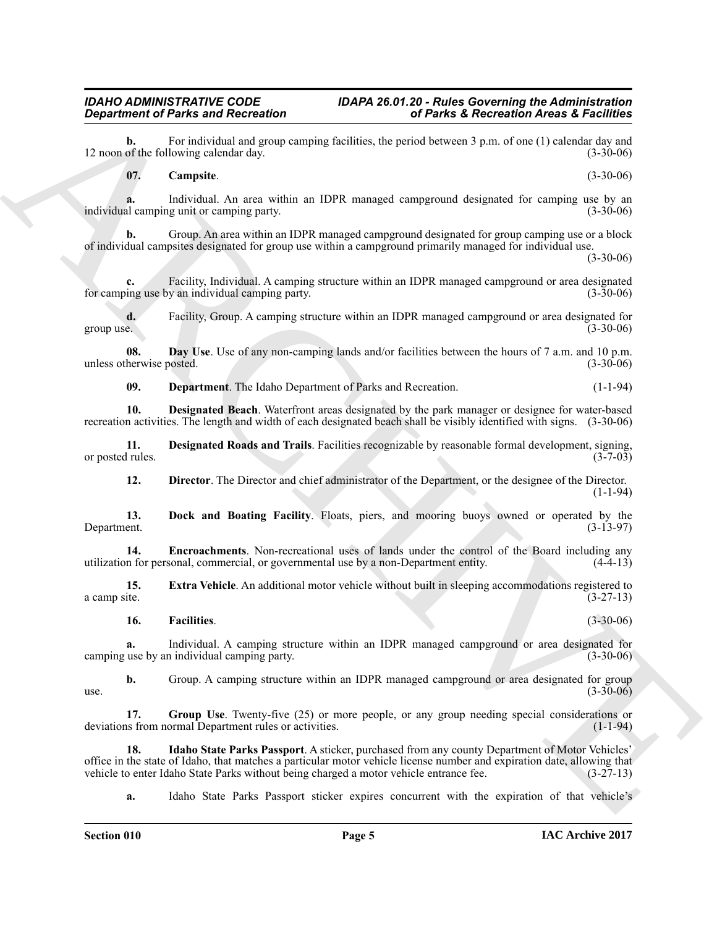**b.** For individual and group camping facilities, the period between 3 p.m. of one (1) calendar day and of the following calendar day. (3-30-06) 12 noon of the following calendar day.

<span id="page-4-0"></span>**07. Campsite**. (3-30-06)

**a.** Individual. An area within an IDPR managed campground designated for camping use by an al camping unit or camping party. individual camping unit or camping party.

**b.** Group. An area within an IDPR managed campground designated for group camping use or a block of individual campsites designated for group use within a campground primarily managed for individual use.

(3-30-06)

**c.** Facility, Individual. A camping structure within an IDPR managed campground or area designated ing use by an individual camping party. (3-30-06) for camping use by an individual camping party.

**d.** Facility, Group. A camping structure within an IDPR managed campground or area designated for group use. (3-30-06) group use.  $(3-30-06)$ 

**08. Day Use**. Use of any non-camping lands and/or facilities between the hours of 7 a.m. and 10 p.m. herwise posted. (3-30-06) unless otherwise posted.

<span id="page-4-3"></span><span id="page-4-2"></span><span id="page-4-1"></span>**09. Department**. The Idaho Department of Parks and Recreation. (1-1-94)

**10. Designated Beach**. Waterfront areas designated by the park manager or designee for water-based recreation activities. The length and width of each designated beach shall be visibly identified with signs. (3-30-06)

**11. Designated Roads and Trails**. Facilities recognizable by reasonable formal development, signing, or posted rules.

<span id="page-4-7"></span><span id="page-4-6"></span><span id="page-4-5"></span><span id="page-4-4"></span>**12. Director**. The Director and chief administrator of the Department, or the designee of the Director. (1-1-94)

**13.** Dock and Boating Facility. Floats, piers, and mooring buoys owned or operated by the Department. (3-13-97) Department. (3-13-97)

**14. Encroachments**. Non-recreational uses of lands under the control of the Board including any n for personal, commercial, or governmental use by a non-Department entity. (4-4-13) utilization for personal, commercial, or governmental use by a non-Department entity. (4-4-13)

**15. Extra Vehicle**. An additional motor vehicle without built in sleeping accommodations registered to a camp site.  $(3-27-13)$ a camp site.  $(3-27-13)$ 

<span id="page-4-9"></span><span id="page-4-8"></span>**16. Facilities**. (3-30-06)

**a.** Individual. A camping structure within an IDPR managed campground or area designated for use by an individual camping party.  $(3-30-06)$ camping use by an individual camping party.

**b.** Group. A camping structure within an IDPR managed campground or area designated for group (3-30-06)  $use.$  (3-30-06)

<span id="page-4-10"></span>**17.** Group Use. Twenty-five (25) or more people, or any group needing special considerations or as from normal Department rules or activities. deviations from normal Department rules or activities.

**Equation of Paints and Recitations** (a) **F** Radis 2 Recreation Arcsec 3 Facilities<br>
12 noon the base of Radis and Recitations (b) the state of the state of the state of the state of the state of the state of the state of **18. Idaho State Parks Passport**. A sticker, purchased from any county Department of Motor Vehicles' office in the state of Idaho, that matches a particular motor vehicle license number and expiration date, allowing that vehicle to enter Idaho State Parks without being charged a motor vehicle entrance fee. (3-27-13) vehicle to enter Idaho State Parks without being charged a motor vehicle entrance fee.

**a.** Idaho State Parks Passport sticker expires concurrent with the expiration of that vehicle's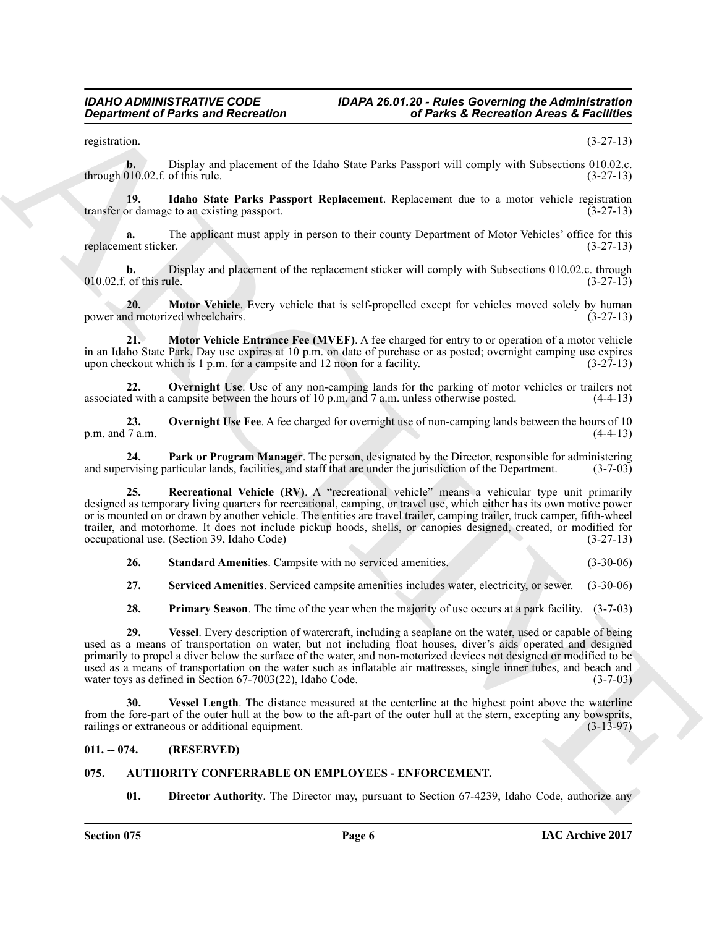registration. (3-27-13)

**b.** Display and placement of the Idaho State Parks Passport will comply with Subsections 010.02.c. through 010.02.f. of this rule.  $(3-27-13)$ 

**19.** Idaho State Parks Passport Replacement. Replacement due to a motor vehicle registration or damage to an existing passport. transfer or damage to an existing passport.

**a.** The applicant must apply in person to their county Department of Motor Vehicles' office for this replacement sticker. (3-27-13)

**b.** Display and placement of the replacement sticker will comply with Subsections 010.02.c. through of this rule. (3-27-13)  $010.02$ .f. of this rule.

<span id="page-5-4"></span>**20. Motor Vehicle**. Every vehicle that is self-propelled except for vehicles moved solely by human demotorized wheelchairs. (3-27-13) power and motorized wheelchairs.

**21. Motor Vehicle Entrance Fee (MVEF)**. A fee charged for entry to or operation of a motor vehicle in an Idaho State Park. Day use expires at 10 p.m. on date of purchase or as posted; overnight camping use expires upon checkout which is 1 p.m. for a campsite and 12 noon for a facility. (3-27-13) upon checkout which is  $1$  p.m. for a campsite and  $12$  noon for a facility.

<span id="page-5-5"></span>**22. Overnight Use**. Use of any non-camping lands for the parking of motor vehicles or trailers not d with a campsite between the hours of 10 p.m. and 7 a.m. unless otherwise posted. (4-4-13) associated with a campsite between the hours of 10 p.m. and 7 a.m. unless otherwise posted.

<span id="page-5-6"></span>**23. Overnight Use Fee**. A fee charged for overnight use of non-camping lands between the hours of 10 p.m. and  $7$  a.m.

<span id="page-5-7"></span>**24. Park or Program Manager**. The person, designated by the Director, responsible for administering ryising particular lands, facilities, and staff that are under the jurisdiction of the Department. (3-7-03) and supervising particular lands, facilities, and staff that are under the jurisdiction of the Department.

**Considered of Parks and Recreation**<br>
results and Recreation **Constant in the state of the state of the state of Parks 2. Recreation Areas 3. Fedinese<br>
results and the state property of the laboration of the state and con 25. Recreational Vehicle (RV)**. A "recreational vehicle" means a vehicular type unit primarily designed as temporary living quarters for recreational, camping, or travel use, which either has its own motive power or is mounted on or drawn by another vehicle. The entities are travel trailer, camping trailer, truck camper, fifth-wheel trailer, and motorhome. It does not include pickup hoods, shells, or canopies designed, created, or modified for occupational use. (Section 39, Idaho Code) (3-27-13) occupational use. (Section 39, Idaho Code)

<span id="page-5-10"></span>**26. Standard Amenities**. Campsite with no serviced amenities. (3-30-06)

<span id="page-5-9"></span>**27. Serviced Amenities**. Serviced campsite amenities includes water, electricity, or sewer. (3-30-06)

<span id="page-5-11"></span><span id="page-5-8"></span>**28. Primary Season**. The time of the year when the majority of use occurs at a park facility. (3-7-03)

**29. Vessel**. Every description of watercraft, including a seaplane on the water, used or capable of being used as a means of transportation on water, but not including float houses, diver's aids operated and designed primarily to propel a diver below the surface of the water, and non-motorized devices not designed or modified to be used as a means of transportation on the water such as inflatable air mattresses, single inner tubes, and beach and water toys as defined in Section 67-7003(22). Idaho Code. (3-7-03) water toys as defined in Section  $67-7003(22)$ , Idaho Code.

<span id="page-5-12"></span>**30. Vessel Length**. The distance measured at the centerline at the highest point above the waterline from the fore-part of the outer hull at the bow to the aft-part of the outer hull at the stern, excepting any bowsprits, railings or extraneous or additional equipment. (3-13-97) railings or extraneous or additional equipment.

### <span id="page-5-0"></span>**011. -- 074. (RESERVED)**

# <span id="page-5-1"></span>**075. AUTHORITY CONFERRABLE ON EMPLOYEES - ENFORCEMENT.**

<span id="page-5-3"></span><span id="page-5-2"></span>**01. Director Authority**. The Director may, pursuant to Section 67-4239, Idaho Code, authorize any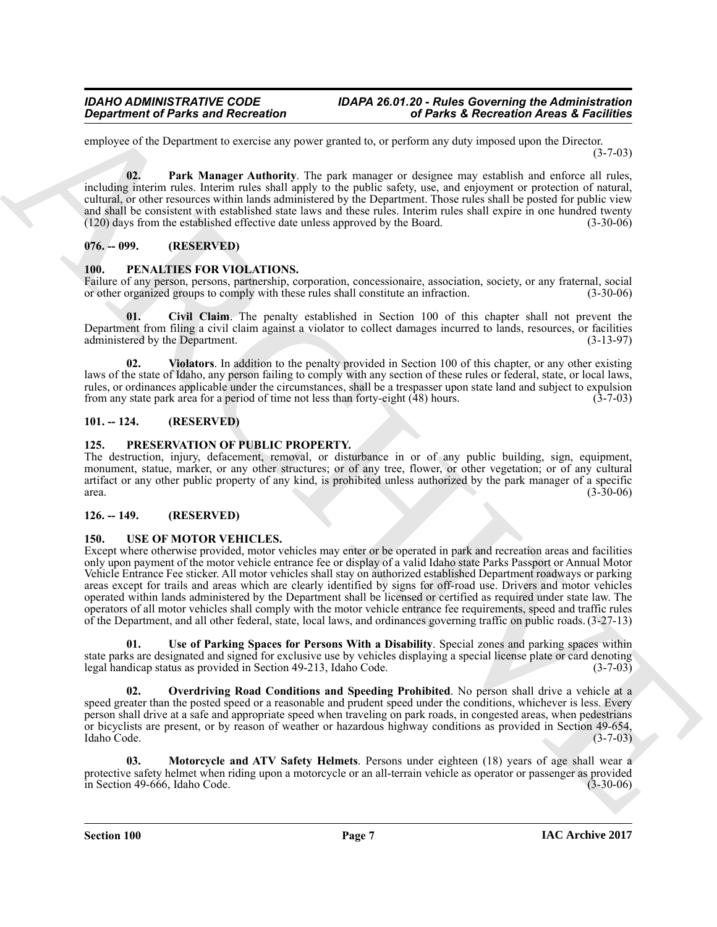employee of the Department to exercise any power granted to, or perform any duty imposed upon the Director. (3-7-03)

<span id="page-6-6"></span>**02. Park Manager Authority**. The park manager or designee may establish and enforce all rules, including interim rules. Interim rules shall apply to the public safety, use, and enjoyment or protection of natural, cultural, or other resources within lands administered by the Department. Those rules shall be posted for public view and shall be consistent with established state laws and these rules. Interim rules shall expire in one hundred twenty (120) days from the established effective date unless approved by the Board. (3-30-06)

### <span id="page-6-0"></span>**076. -- 099. (RESERVED)**

#### <span id="page-6-7"></span><span id="page-6-1"></span>**100. PENALTIES FOR VIOLATIONS.**

Failure of any person, persons, partnership, corporation, concessionaire, association, society, or any fraternal, social or other organized groups to comply with these rules shall constitute an infraction. (3-30-06) or other organized groups to comply with these rules shall constitute an infraction.

<span id="page-6-8"></span>**01. Civil Claim**. The penalty established in Section 100 of this chapter shall not prevent the Department from filing a civil claim against a violator to collect damages incurred to lands, resources, or facilities administered by the Department. (3-13-97) administered by the Department.

<span id="page-6-9"></span>**02. Violators**. In addition to the penalty provided in Section 100 of this chapter, or any other existing laws of the state of Idaho, any person failing to comply with any section of these rules or federal, state, or local laws, rules, or ordinances applicable under the circumstances, shall be a trespasser upon state land and subject to expulsion from any state park area for a period of time not less than forty-eight (48) hours. (3-7-03) from any state park area for a period of time not less than forty-eight  $(48)$  hours.

### <span id="page-6-2"></span>**101. -- 124. (RESERVED)**

#### <span id="page-6-10"></span><span id="page-6-3"></span>**125. PRESERVATION OF PUBLIC PROPERTY.**

The destruction, injury, defacement, removal, or disturbance in or of any public building, sign, equipment, monument, statue, marker, or any other structures; or of any tree, flower, or other vegetation; or of any cultural artifact or any other public property of any kind, is prohibited unless authorized by the park manager of a specific area.  $(3-30-06)$ 

### <span id="page-6-11"></span><span id="page-6-4"></span>**126. -- 149. (RESERVED)**

#### <span id="page-6-5"></span>**150. USE OF MOTOR VEHICLES.**

*General of Parks and Recreasion*<br> **Consider the Universe and Recreasion**<br>
Support to the Universe and Recreasion (and the Universe and International or the Universe and the Universe and the Universe and the Universe an Except where otherwise provided, motor vehicles may enter or be operated in park and recreation areas and facilities only upon payment of the motor vehicle entrance fee or display of a valid Idaho state Parks Passport or Annual Motor Vehicle Entrance Fee sticker. All motor vehicles shall stay on authorized established Department roadways or parking areas except for trails and areas which are clearly identified by signs for off-road use. Drivers and motor vehicles operated within lands administered by the Department shall be licensed or certified as required under state law. The operators of all motor vehicles shall comply with the motor vehicle entrance fee requirements, speed and traffic rules of the Department, and all other federal, state, local laws, and ordinances governing traffic on public roads. (3-27-13)

<span id="page-6-14"></span>**01. Use of Parking Spaces for Persons With a Disability**. Special zones and parking spaces within state parks are designated and signed for exclusive use by vehicles displaying a special license plate or card denoting<br>legal handicap status as provided in Section 49-213. Idaho Code. (3-7-03) legal handicap status as provided in Section 49-213, Idaho Code.

<span id="page-6-13"></span>**Overdriving Road Conditions and Speeding Prohibited**. No person shall drive a vehicle at a speed greater than the posted speed or a reasonable and prudent speed under the conditions, whichever is less. Every person shall drive at a safe and appropriate speed when traveling on park roads, in congested areas, when pedestrians or bicyclists are present, or by reason of weather or hazardous highway conditions as provided in Section 49-654, Idaho Code. (3-7-03)

<span id="page-6-12"></span>**03. Motorcycle and ATV Safety Helmets**. Persons under eighteen (18) years of age shall wear a protective safety helmet when riding upon a motorcycle or an all-terrain vehicle as operator or passenger as provided<br>(3-30-06) (3-30-06)  $\overline{\text{in}}$  Section 49-666, Idaho Code.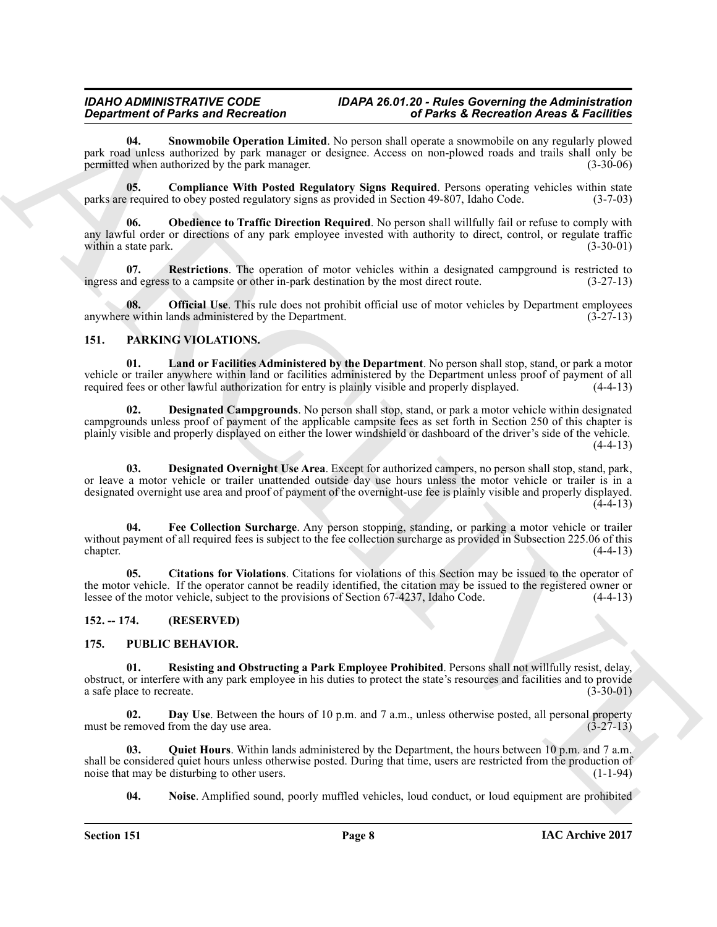<span id="page-7-18"></span>**04. Snowmobile Operation Limited**. No person shall operate a snowmobile on any regularly plowed park road unless authorized by park manager or designee. Access on non-plowed roads and trails shall only be permitted when authorized by the park manager. permitted when authorized by the park manager.

<span id="page-7-14"></span>**05. Compliance With Posted Regulatory Signs Required**. Persons operating vehicles within state parks are required to obey posted regulatory signs as provided in Section 49-807, Idaho Code. (3-7-03)

<span id="page-7-15"></span>**06. Obedience to Traffic Direction Required**. No person shall willfully fail or refuse to comply with any lawful order or directions of any park employee invested with authority to direct, control, or regulate traffic within a state park. (3-30-01) within a state park.

<span id="page-7-17"></span>**07.** Restrictions. The operation of motor vehicles within a designated campground is restricted to nd egress to a campsite or other in-park destination by the most direct route. (3-27-13) ingress and egress to a campsite or other in-park destination by the most direct route.

<span id="page-7-16"></span>**08. Official Use**. This rule does not prohibit official use of motor vehicles by Department employees e within lands administered by the Department. (3-27-13) anywhere within lands administered by the Department.

### <span id="page-7-8"></span><span id="page-7-3"></span><span id="page-7-0"></span>**151. PARKING VIOLATIONS.**

<span id="page-7-5"></span>**01. Land or Facilities Administered by the Department**. No person shall stop, stand, or park a motor vehicle or trailer anywhere within land or facilities administered by the Department unless proof of payment of all<br>required fees or other lawful authorization for entry is plainly visible and properly displayed. (4-4-13) required fees or other lawful authorization for entry is plainly visible and properly displayed.

*Department of Paints and Reichmann in European Control in the March 2 Recentration Architecture of the Control in the Control in the Control in the Control in the Control in the Control in the Control in the Control in* **02. Designated Campgrounds**. No person shall stop, stand, or park a motor vehicle within designated campgrounds unless proof of payment of the applicable campsite fees as set forth in Section 250 of this chapter is plainly visible and properly displayed on either the lower windshield or dashboard of the driver's side of the vehicle.  $(4-4-13)$ 

<span id="page-7-6"></span>**03. Designated Overnight Use Area**. Except for authorized campers, no person shall stop, stand, park, or leave a motor vehicle or trailer unattended outside day use hours unless the motor vehicle or trailer is in a designated overnight use area and proof of payment of the overnight-use fee is plainly visible and properly displayed.  $(4-4-13)$ 

<span id="page-7-7"></span>**04. Fee Collection Surcharge**. Any person stopping, standing, or parking a motor vehicle or trailer without payment of all required fees is subject to the fee collection surcharge as provided in Subsection 225.06 of this chapter. chapter. (4-4-13)

<span id="page-7-4"></span>**05. Citations for Violations**. Citations for violations of this Section may be issued to the operator of the motor vehicle. If the operator cannot be readily identified, the citation may be issued to the registered owner or lessee of the motor vehicle, subject to the provisions of Section 67-4237, Idaho Code. (4-4-13) lessee of the motor vehicle, subject to the provisions of Section 67-4237, Idaho Code.

### <span id="page-7-9"></span><span id="page-7-1"></span>**152. -- 174. (RESERVED)**

### <span id="page-7-2"></span>**175. PUBLIC BEHAVIOR.**

<span id="page-7-13"></span>**Resisting and Obstructing a Park Employee Prohibited**. Persons shall not willfully resist, delay, obstruct, or interfere with any park employee in his duties to protect the state's resources and facilities and to provide a safe place to recreate. (3-30-01) (3-30-01)

<span id="page-7-10"></span>**02. Day Use**. Between the hours of 10 p.m. and 7 a.m., unless otherwise posted, all personal property removed from the day use area. must be removed from the day use area.

**03. Quiet Hours**. Within lands administered by the Department, the hours between 10 p.m. and 7 a.m. shall be considered quiet hours unless otherwise posted. During that time, users are restricted from the production of noise that may be disturbing to other users. noise that may be disturbing to other users.

<span id="page-7-12"></span><span id="page-7-11"></span>**04. Noise**. Amplified sound, poorly muffled vehicles, loud conduct, or loud equipment are prohibited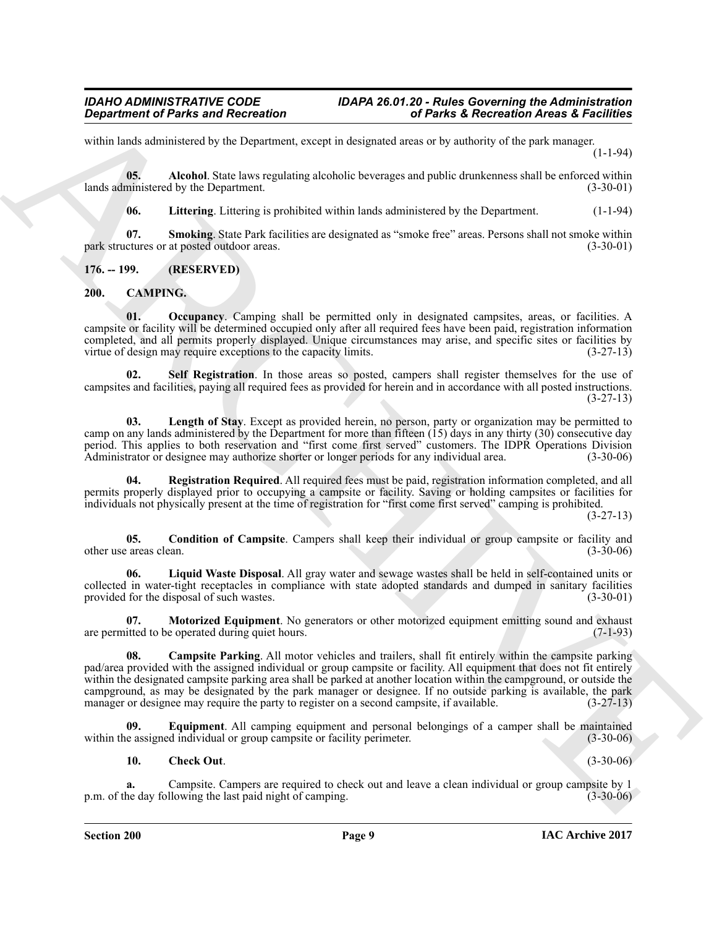within lands administered by the Department, except in designated areas or by authority of the park manager. (1-1-94)

**05. Alcohol**. State laws regulating alcoholic beverages and public drunkenness shall be enforced within lands administered by the Department. (3-30-01)

<span id="page-8-15"></span><span id="page-8-14"></span><span id="page-8-13"></span>**06. Littering**. Littering is prohibited within lands administered by the Department. (1-1-94)

**07. Smoking**. State Park facilities are designated as "smoke free" areas. Persons shall not smoke within park structures or at posted outdoor areas. (3-30-01)

<span id="page-8-0"></span>**176. -- 199. (RESERVED)**

# <span id="page-8-2"></span><span id="page-8-1"></span>**200. CAMPING.**

<span id="page-8-10"></span>**01. Occupancy**. Camping shall be permitted only in designated campsites, areas, or facilities. A campsite or facility will be determined occupied only after all required fees have been paid, registration information completed, and all permits properly displayed. Unique circumstances may arise, and specific sites or facilities by virtue of design may require exceptions to the capacity limits. (3-27-13)

<span id="page-8-12"></span>**02. Self Registration**. In those areas so posted, campers shall register themselves for the use of campsites and facilities, paying all required fees as provided for herein and in accordance with all posted instructions. (3-27-13)

<span id="page-8-7"></span>**03. Length of Stay**. Except as provided herein, no person, party or organization may be permitted to camp on any lands administered by the Department for more than fifteen (15) days in any thirty (30) consecutive day period. This applies to both reservation and "first come first served" customers. The IDPR Operations Division<br>Administrator or designee may authorize shorter or longer periods for any individual area. (3-30-06) Administrator or designee may authorize shorter or longer periods for any individual area.

<span id="page-8-11"></span>**04. Registration Required**. All required fees must be paid, registration information completed, and all permits properly displayed prior to occupying a campsite or facility. Saving or holding campsites or facilities for individuals not physically present at the time of registration for "first come first served" camping is prohibited.

(3-27-13)

<span id="page-8-5"></span>**05.** Condition of Campsite. Campers shall keep their individual or group campsite or facility and (3-30-06) areas clean. other use areas clean.

<span id="page-8-8"></span>**06. Liquid Waste Disposal**. All gray water and sewage wastes shall be held in self-contained units or collected in water-tight receptacles in compliance with state adopted standards and dumped in sanitary facilities provided for the disposal of such wastes. (3-30-01) provided for the disposal of such wastes.

<span id="page-8-9"></span><span id="page-8-3"></span>**07. Motorized Equipment**. No generators or other motorized equipment emitting sound and exhaust are permitted to be operated during quiet hours. (7-1-93)

**Consideration of Paints and Reizvolution**<br>
scribtures and Reizvolution correspondents and the set of Paints at Reizvolution and the set of consideration of the set of the set of the set of the set of the set of the set o **08. Campsite Parking**. All motor vehicles and trailers, shall fit entirely within the campsite parking pad/area provided with the assigned individual or group campsite or facility. All equipment that does not fit entirely within the designated campsite parking area shall be parked at another location within the campground, or outside the campground, as may be designated by the park manager or designee. If no outside parking is available, the park manager or designee may require the party to register on a second campsite, if available. (3-27-13) manager or designee may require the party to register on a second campsite, if available.

**09. Equipment**. All camping equipment and personal belongings of a camper shall be maintained within the assigned individual or group campsite or facility perimeter. (3-30-06)

### <span id="page-8-6"></span><span id="page-8-4"></span>**10. Check Out**. (3-30-06)

**a.** Campsite. Campers are required to check out and leave a clean individual or group campsite by 1 he day following the last paid night of camping. (3-30-06) p.m. of the day following the last paid night of camping.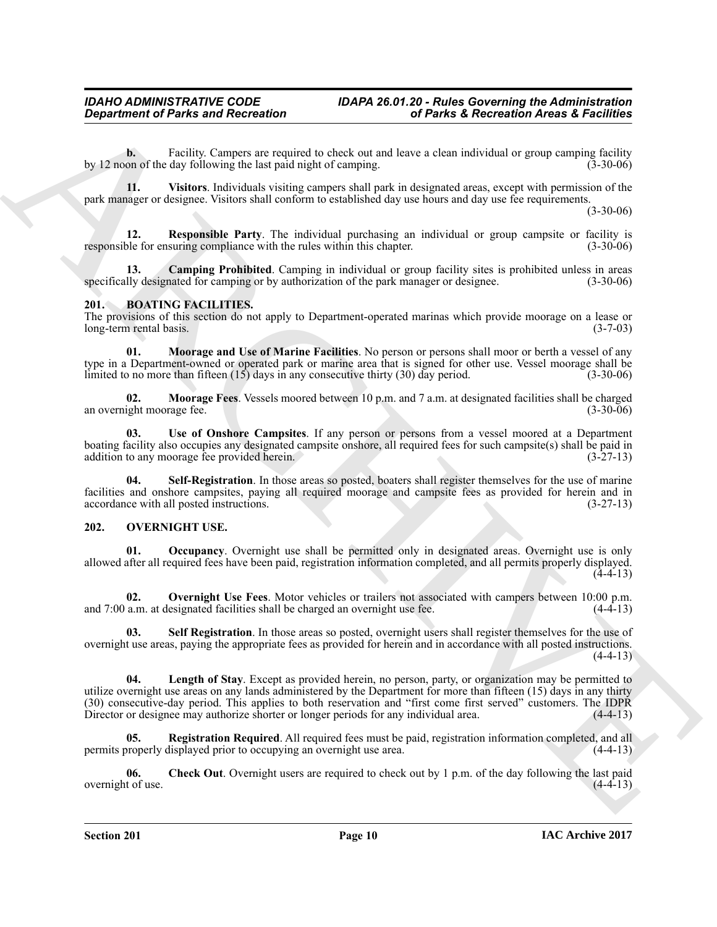**b.** Facility. Campers are required to check out and leave a clean individual or group camping facility on of the day following the last paid night of camping. (3-30-06) by 12 noon of the day following the last paid night of camping.

<span id="page-9-9"></span>**11. Visitors**. Individuals visiting campers shall park in designated areas, except with permission of the park manager or designee. Visitors shall conform to established day use hours and day use fee requirements.

(3-30-06)

<span id="page-9-8"></span>**12. Responsible Party**. The individual purchasing an individual or group campsite or facility is ble for ensuring compliance with the rules within this chapter. (3-30-06) responsible for ensuring compliance with the rules within this chapter.

<span id="page-9-7"></span>**13. Camping Prohibited**. Camping in individual or group facility sites is prohibited unless in areas lly designated for camping or by authorization of the park manager or designee. (3-30-06) specifically designated for camping or by authorization of the park manager or designee.

### <span id="page-9-2"></span><span id="page-9-0"></span>**201. BOATING FACILITIES.**

The provisions of this section do not apply to Department-operated marinas which provide moorage on a lease or long-term rental basis. (3-7-03) long-term rental basis.

<span id="page-9-3"></span>**01. Moorage and Use of Marine Facilities**. No person or persons shall moor or berth a vessel of any type in a Department-owned or operated park or marine area that is signed for other use. Vessel moorage shall be limited to no more than fifteen (15) days in any consecutive thirty (30) day period. (3-30-06) limited to no more than fifteen  $(15)$  days in any consecutive thirty  $(30)$  day period.

<span id="page-9-4"></span>**02.** Moorage Fees. Vessels moored between 10 p.m. and 7 a.m. at designated facilities shall be charged ight moorage fee. (3-30-06) an overnight moorage fee.

<span id="page-9-6"></span>**03. Use of Onshore Campsites**. If any person or persons from a vessel moored at a Department boating facility also occupies any designated campsite onshore, all required fees for such campsite(s) shall be paid in addition to any moorage fee provided herein. addition to any moorage fee provided herein.

<span id="page-9-5"></span>Self-Registration. In those areas so posted, boaters shall register themselves for the use of marine facilities and onshore campsites, paying all required moorage and campsite fees as provided for herein and in accordance with all posted instructions. (3-27-13) accordance with all posted instructions.

### <span id="page-9-10"></span><span id="page-9-1"></span>**202. OVERNIGHT USE.**

<span id="page-9-13"></span>**01. Occupancy**. Overnight use shall be permitted only in designated areas. Overnight use is only allowed after all required fees have been paid, registration information completed, and all permits properly displayed.  $(4-4-13)$ 

<span id="page-9-14"></span>**02.** Overnight Use Fees. Motor vehicles or trailers not associated with campers between 10:00 p.m. a.m. at designated facilities shall be charged an overnight use fee. (4-4-13) and 7:00 a.m. at designated facilities shall be charged an overnight use fee.

<span id="page-9-16"></span><span id="page-9-12"></span>**03.** Self Registration. In those areas so posted, overnight users shall register themselves for the use of overnight use areas, paying the appropriate fees as provided for herein and in accordance with all posted instructions.  $(4-4-13)$ 

**Considered of Pairis and Recreation**<br> **Considered and Recreation**<br>  $y = 1$  and  $y = 1$  (leader). The stationary is the stationary of the stationary of the stationary of the stationary of the stationary of the stationary of **04. Length of Stay**. Except as provided herein, no person, party, or organization may be permitted to utilize overnight use areas on any lands administered by the Department for more than fifteen (15) days in any thirty (30) consecutive-day period. This applies to both reservation and "first come first served" customers. The IDPR Director or designee may authorize shorter or longer periods for any individual area.

<span id="page-9-15"></span>**Registration Required**. All required fees must be paid, registration information completed, and all lisplayed prior to occupying an overnight use area. (4-4-13) permits properly displayed prior to occupying an overnight use area.

<span id="page-9-11"></span>**06.** Check Out. Overnight users are required to check out by 1 p.m. of the day following the last paid t of use. overnight of use.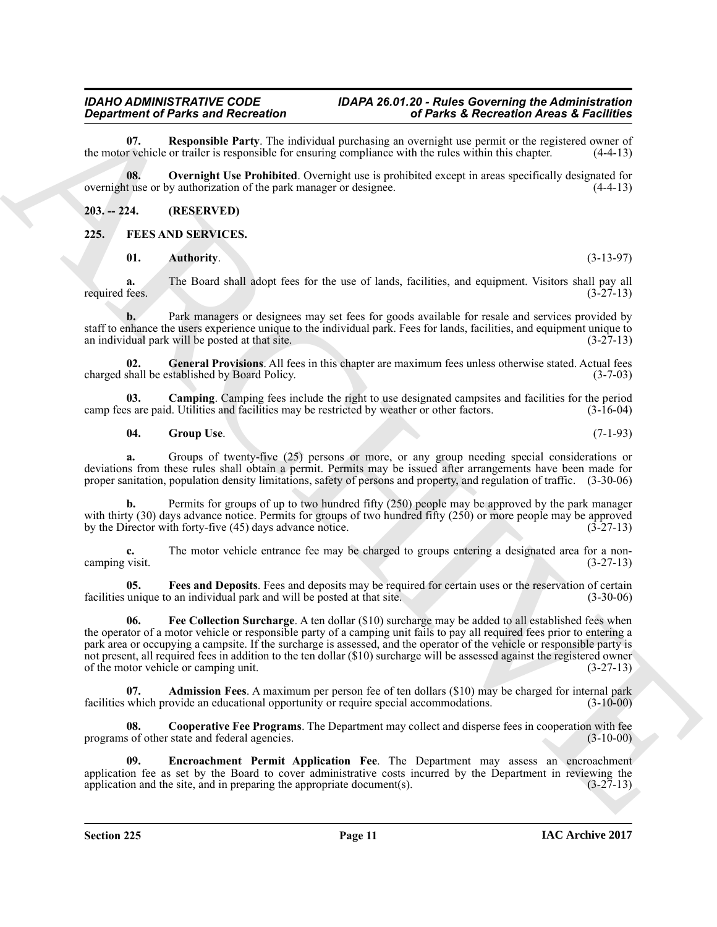<span id="page-10-13"></span>**07. Responsible Party**. The individual purchasing an overnight use permit or the registered owner of r vehicle or trailer is responsible for ensuring compliance with the rules within this chapter. (4-4-13) the motor vehicle or trailer is responsible for ensuring compliance with the rules within this chapter.

<span id="page-10-12"></span>**08. Overnight Use Prohibited**. Overnight use is prohibited except in areas specifically designated for overnight use or by authorization of the park manager or designee. (4-4-13)

#### <span id="page-10-0"></span>**203. -- 224. (RESERVED)**

#### <span id="page-10-1"></span>**225. FEES AND SERVICES.**

<span id="page-10-4"></span><span id="page-10-2"></span>**01. Authority.** (3-13-97)

**a.** The Board shall adopt fees for the use of lands, facilities, and equipment. Visitors shall pay all required fees.  $(3-27-13)$ required fees.  $(3-27-13)$ 

**b.** Park managers or designees may set fees for goods available for resale and services provided by staff to enhance the users experience unique to the individual park. Fees for lands, facilities, and equipment unique to an individual park will be posted at that site. an individual park will be posted at that site.

<span id="page-10-10"></span>**02.** General Provisions. All fees in this chapter are maximum fees unless otherwise stated. Actual fees shall be established by Board Policy. (3-7-03) charged shall be established by Board Policy.

**03.** Camping Camping fees include the right to use designated campsites and facilities for the period is are paid. Utilities and facilities may be restricted by weather or other factors. (3-16-04) camp fees are paid. Utilities and facilities may be restricted by weather or other factors.

#### <span id="page-10-11"></span><span id="page-10-5"></span>**04. Group Use**. (7-1-93)

**a.** Groups of twenty-five (25) persons or more, or any group needing special considerations or deviations from these rules shall obtain a permit. Permits may be issued after arrangements have been made for proper sanitation, population density limitations, safety of persons and property, and regulation of traffic. (3-30-06)

**b.** Permits for groups of up to two hundred fifty (250) people may be approved by the park manager with thirty (30) days advance notice. Permits for groups of two hundred fifty (250) or more people may be approved<br>by the Director with forty-five (45) days advance notice. by the Director with forty-five (45) days advance notice.

**c.** The motor vehicle entrance fee may be charged to groups entering a designated area for a non-<br>(3-27-13) camping visit.

<span id="page-10-9"></span><span id="page-10-8"></span>**05. Fees and Deposits**. Fees and deposits may be required for certain uses or the reservation of certain unique to an individual park and will be posted at that site. (3-30-06) facilities unique to an individual park and will be posted at that site.

**Department of Parks and Reichmann (a)** the change of the change of Parks is Recentively Architects and the parks of the control of Parks is a statistical point of the control of the control of the statistical point of th **06. Fee Collection Surcharge**. A ten dollar (\$10) surcharge may be added to all established fees when the operator of a motor vehicle or responsible party of a camping unit fails to pay all required fees prior to entering a park area or occupying a campsite. If the surcharge is assessed, and the operator of the vehicle or responsible party is not present, all required fees in addition to the ten dollar (\$10) surcharge will be assessed against the registered owner<br>of the motor vehicle or camping unit. (3-27-13) of the motor vehicle or camping unit.

<span id="page-10-3"></span>**Admission Fees**. A maximum per person fee of ten dollars (\$10) may be charged for internal park rovide an educational opportunity or require special accommodations. (3-10-00) facilities which provide an educational opportunity or require special accommodations.

<span id="page-10-6"></span>**08. Cooperative Fee Programs**. The Department may collect and disperse fees in cooperation with fee programs of other state and federal agencies. (3-10-00)

<span id="page-10-7"></span>**09. Encroachment Permit Application Fee**. The Department may assess an encroachment application fee as set by the Board to cover administrative costs incurred by the Department in reviewing the application and the site, and in preparing the appropriate document(s).  $(3-27-13)$ application and the site, and in preparing the appropriate document(s).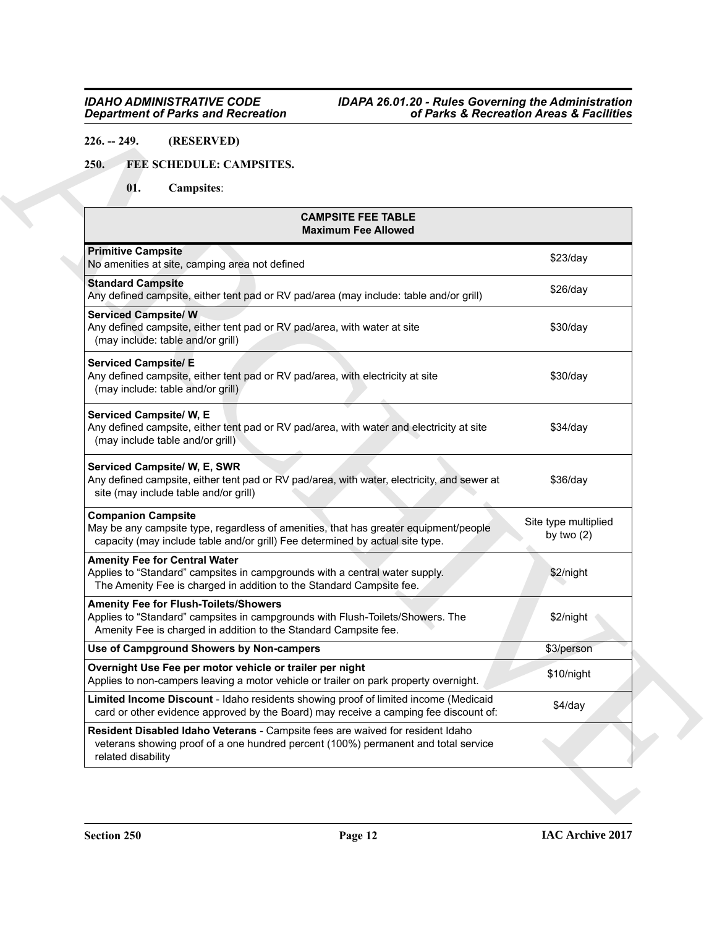# <span id="page-11-0"></span>**226. -- 249. (RESERVED)**

# <span id="page-11-2"></span><span id="page-11-1"></span>**250. FEE SCHEDULE: CAMPSITES.**

| 250.<br>FEE SCHEDULE: CAMPSITES.<br>01.<br><b>Campsites:</b>                                                                                                                                       |                                      |  |
|----------------------------------------------------------------------------------------------------------------------------------------------------------------------------------------------------|--------------------------------------|--|
| <b>CAMPSITE FEE TABLE</b><br><b>Maximum Fee Allowed</b>                                                                                                                                            |                                      |  |
| <b>Primitive Campsite</b><br>No amenities at site, camping area not defined                                                                                                                        | \$23/day                             |  |
| <b>Standard Campsite</b><br>Any defined campsite, either tent pad or RV pad/area (may include: table and/or grill)                                                                                 | $$26$ /day                           |  |
| <b>Serviced Campsite/W</b><br>Any defined campsite, either tent pad or RV pad/area, with water at site<br>(may include: table and/or grill)                                                        | \$30/day                             |  |
| <b>Serviced Campsite/ E</b><br>Any defined campsite, either tent pad or RV pad/area, with electricity at site<br>(may include: table and/or grill)                                                 | \$30/day                             |  |
| <b>Serviced Campsite/ W, E</b><br>Any defined campsite, either tent pad or RV pad/area, with water and electricity at site<br>(may include table and/or grill)                                     | \$34/day                             |  |
| Serviced Campsite/ W, E, SWR<br>Any defined campsite, either tent pad or RV pad/area, with water, electricity, and sewer at<br>site (may include table and/or grill)                               | $$36$ /day                           |  |
| <b>Companion Campsite</b><br>May be any campsite type, regardless of amenities, that has greater equipment/people<br>capacity (may include table and/or grill) Fee determined by actual site type. | Site type multiplied<br>by two $(2)$ |  |
| <b>Amenity Fee for Central Water</b><br>Applies to "Standard" campsites in campgrounds with a central water supply.<br>The Amenity Fee is charged in addition to the Standard Campsite fee.        | \$2/night                            |  |
| <b>Amenity Fee for Flush-Toilets/Showers</b><br>Applies to "Standard" campsites in campgrounds with Flush-Toilets/Showers. The<br>Amenity Fee is charged in addition to the Standard Campsite fee. | \$2/night                            |  |
| Use of Campground Showers by Non-campers                                                                                                                                                           | \$3/person                           |  |
| Overnight Use Fee per motor vehicle or trailer per night<br>Applies to non-campers leaving a motor vehicle or trailer on park property overnight.                                                  | \$10/night                           |  |
| Limited Income Discount - Idaho residents showing proof of limited income (Medicaid<br>card or other evidence approved by the Board) may receive a camping fee discount of:                        | \$4/day                              |  |
| Resident Disabled Idaho Veterans - Campsite fees are waived for resident Idaho<br>veterans showing proof of a one hundred percent (100%) permanent and total service<br>related disability         |                                      |  |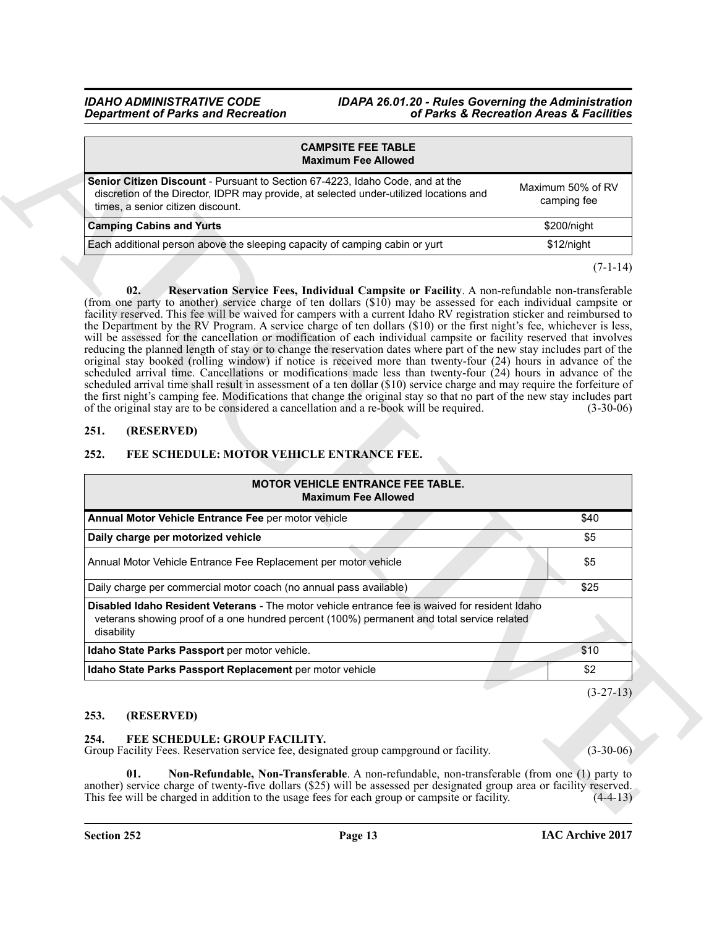<span id="page-12-4"></span>

| <b>CAMPSITE FEE TABLE</b><br><b>Maximum Fee Allowed</b>                                                                                                                                                             |                                  |
|---------------------------------------------------------------------------------------------------------------------------------------------------------------------------------------------------------------------|----------------------------------|
| <b>Senior Citizen Discount</b> - Pursuant to Section 67-4223, Idaho Code, and at the<br>discretion of the Director, IDPR may provide, at selected under-utilized locations and<br>times, a senior citizen discount. | Maximum 50% of RV<br>camping fee |
| <b>Camping Cabins and Yurts</b>                                                                                                                                                                                     | \$200/night                      |
| Each additional person above the sleeping capacity of camping cabin or yurt                                                                                                                                         | \$12/night                       |
|                                                                                                                                                                                                                     |                                  |

# <span id="page-12-0"></span>**251. (RESERVED)**

# <span id="page-12-7"></span><span id="page-12-1"></span>**252. FEE SCHEDULE: MOTOR VEHICLE ENTRANCE FEE.**

| <b>CAMPSITE FEE TABLE</b><br><b>Maximum Fee Allowed</b>                                                                                                                                                                                                                                                                                                                                                                                                                                                                                                                                                                                                                                                                                                                                                                                                                                                                                                                                                                                                                                                                                                                                                                                                                                                                                                                                                            |                                  |  |  |
|--------------------------------------------------------------------------------------------------------------------------------------------------------------------------------------------------------------------------------------------------------------------------------------------------------------------------------------------------------------------------------------------------------------------------------------------------------------------------------------------------------------------------------------------------------------------------------------------------------------------------------------------------------------------------------------------------------------------------------------------------------------------------------------------------------------------------------------------------------------------------------------------------------------------------------------------------------------------------------------------------------------------------------------------------------------------------------------------------------------------------------------------------------------------------------------------------------------------------------------------------------------------------------------------------------------------------------------------------------------------------------------------------------------------|----------------------------------|--|--|
| Senior Citizen Discount - Pursuant to Section 67-4223, Idaho Code, and at the<br>discretion of the Director, IDPR may provide, at selected under-utilized locations and<br>times, a senior citizen discount.                                                                                                                                                                                                                                                                                                                                                                                                                                                                                                                                                                                                                                                                                                                                                                                                                                                                                                                                                                                                                                                                                                                                                                                                       | Maximum 50% of RV<br>camping fee |  |  |
| <b>Camping Cabins and Yurts</b>                                                                                                                                                                                                                                                                                                                                                                                                                                                                                                                                                                                                                                                                                                                                                                                                                                                                                                                                                                                                                                                                                                                                                                                                                                                                                                                                                                                    | \$200/night                      |  |  |
| Each additional person above the sleeping capacity of camping cabin or yurt                                                                                                                                                                                                                                                                                                                                                                                                                                                                                                                                                                                                                                                                                                                                                                                                                                                                                                                                                                                                                                                                                                                                                                                                                                                                                                                                        | \$12/night                       |  |  |
| 02.<br>Reservation Service Fees, Individual Campsite or Facility. A non-refundable non-transferable<br>(from one party to another) service charge of ten dollars $(\$10)$ may be assessed for each individual campsite or<br>facility reserved. This fee will be waived for campers with a current Idaho RV registration sticker and reimbursed to<br>the Department by the RV Program. A service charge of ten dollars (\$10) or the first night's fee, whichever is less,<br>will be assessed for the cancellation or modification of each individual campsite or facility reserved that involves<br>reducing the planned length of stay or to change the reservation dates where part of the new stay includes part of the<br>original stay booked (rolling window) if notice is received more than twenty-four (24) hours in advance of the<br>scheduled arrival time. Cancellations or modifications made less than twenty-four $(24)$ hours in advance of the<br>scheduled arrival time shall result in assessment of a ten dollar (\$10) service charge and may require the forfeiture of<br>the first night's camping fee. Modifications that change the original stay so that no part of the new stay includes part<br>of the original stay are to be considered a cancellation and a re-book will be required.<br>$(3-30-06)$<br>251.<br>(RESERVED)<br>252.<br>FEE SCHEDULE: MOTOR VEHICLE ENTRANCE FEE. |                                  |  |  |
|                                                                                                                                                                                                                                                                                                                                                                                                                                                                                                                                                                                                                                                                                                                                                                                                                                                                                                                                                                                                                                                                                                                                                                                                                                                                                                                                                                                                                    |                                  |  |  |
| <b>MOTOR VEHICLE ENTRANCE FEE TABLE.</b><br><b>Maximum Fee Allowed</b>                                                                                                                                                                                                                                                                                                                                                                                                                                                                                                                                                                                                                                                                                                                                                                                                                                                                                                                                                                                                                                                                                                                                                                                                                                                                                                                                             |                                  |  |  |
| Annual Motor Vehicle Entrance Fee per motor vehicle                                                                                                                                                                                                                                                                                                                                                                                                                                                                                                                                                                                                                                                                                                                                                                                                                                                                                                                                                                                                                                                                                                                                                                                                                                                                                                                                                                | \$40                             |  |  |
| Daily charge per motorized vehicle                                                                                                                                                                                                                                                                                                                                                                                                                                                                                                                                                                                                                                                                                                                                                                                                                                                                                                                                                                                                                                                                                                                                                                                                                                                                                                                                                                                 | \$5                              |  |  |
| Annual Motor Vehicle Entrance Fee Replacement per motor vehicle                                                                                                                                                                                                                                                                                                                                                                                                                                                                                                                                                                                                                                                                                                                                                                                                                                                                                                                                                                                                                                                                                                                                                                                                                                                                                                                                                    | \$5                              |  |  |
| Daily charge per commercial motor coach (no annual pass available)                                                                                                                                                                                                                                                                                                                                                                                                                                                                                                                                                                                                                                                                                                                                                                                                                                                                                                                                                                                                                                                                                                                                                                                                                                                                                                                                                 | \$25                             |  |  |
| <b>Disabled Idaho Resident Veterans</b> - The motor vehicle entrance fee is waived for resident Idaho<br>veterans showing proof of a one hundred percent (100%) permanent and total service related<br>disability                                                                                                                                                                                                                                                                                                                                                                                                                                                                                                                                                                                                                                                                                                                                                                                                                                                                                                                                                                                                                                                                                                                                                                                                  |                                  |  |  |
| Idaho State Parks Passport per motor vehicle.                                                                                                                                                                                                                                                                                                                                                                                                                                                                                                                                                                                                                                                                                                                                                                                                                                                                                                                                                                                                                                                                                                                                                                                                                                                                                                                                                                      | \$10                             |  |  |
| Idaho State Parks Passport Replacement per motor vehicle                                                                                                                                                                                                                                                                                                                                                                                                                                                                                                                                                                                                                                                                                                                                                                                                                                                                                                                                                                                                                                                                                                                                                                                                                                                                                                                                                           | \$2                              |  |  |
|                                                                                                                                                                                                                                                                                                                                                                                                                                                                                                                                                                                                                                                                                                                                                                                                                                                                                                                                                                                                                                                                                                                                                                                                                                                                                                                                                                                                                    |                                  |  |  |
| 253.<br>(RESERVED)                                                                                                                                                                                                                                                                                                                                                                                                                                                                                                                                                                                                                                                                                                                                                                                                                                                                                                                                                                                                                                                                                                                                                                                                                                                                                                                                                                                                 | $(3-27-13)$                      |  |  |
| 254.<br>FEE SCHEDULE: GROUP FACILITY.<br>Group Facility Fees. Reservation service fee, designated group campground or facility.                                                                                                                                                                                                                                                                                                                                                                                                                                                                                                                                                                                                                                                                                                                                                                                                                                                                                                                                                                                                                                                                                                                                                                                                                                                                                    | $(3-30-06)$                      |  |  |

### <span id="page-12-2"></span>**253. (RESERVED)**

### <span id="page-12-6"></span><span id="page-12-5"></span><span id="page-12-3"></span>**254. FEE SCHEDULE: GROUP FACILITY.**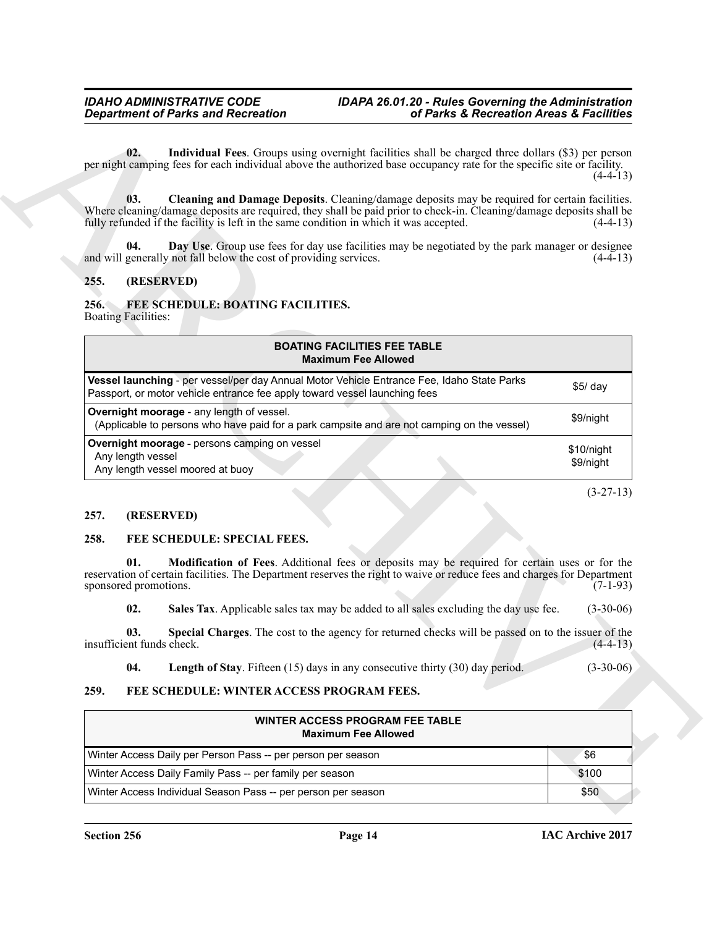# <span id="page-13-8"></span><span id="page-13-7"></span><span id="page-13-6"></span><span id="page-13-5"></span><span id="page-13-1"></span><span id="page-13-0"></span>**255. (RESERVED)**

| <b>Department of Parks and Recreation</b>                                                                                                                                                                                                                                                                               | of Parks & Recreation Areas & Facilities |  |  |
|-------------------------------------------------------------------------------------------------------------------------------------------------------------------------------------------------------------------------------------------------------------------------------------------------------------------------|------------------------------------------|--|--|
| Individual Fees. Groups using overnight facilities shall be charged three dollars (\$3) per person<br>02.<br>per night camping fees for each individual above the authorized base occupancy rate for the specific site or facility.                                                                                     | $(4-4-13)$                               |  |  |
| 03.<br>Cleaning and Damage Deposits. Cleaning/damage deposits may be required for certain facilities.<br>Where cleaning/damage deposits are required, they shall be paid prior to check-in. Cleaning/damage deposits shall be<br>fully refunded if the facility is left in the same condition in which it was accepted. | $(4-4-13)$                               |  |  |
| Day Use. Group use fees for day use facilities may be negotiated by the park manager or designee<br>04.<br>and will generally not fall below the cost of providing services.                                                                                                                                            | $(4-4-13)$                               |  |  |
| (RESERVED)<br>255.                                                                                                                                                                                                                                                                                                      |                                          |  |  |
| 256.<br>FEE SCHEDULE: BOATING FACILITIES.<br><b>Boating Facilities:</b>                                                                                                                                                                                                                                                 |                                          |  |  |
| <b>BOATING FACILITIES FEE TABLE</b><br><b>Maximum Fee Allowed</b>                                                                                                                                                                                                                                                       |                                          |  |  |
| Vessel launching - per vessel/per day Annual Motor Vehicle Entrance Fee, Idaho State Parks<br>Passport, or motor vehicle entrance fee apply toward vessel launching fees                                                                                                                                                | $$5/$ day                                |  |  |
| Overnight moorage - any length of vessel.<br>(Applicable to persons who have paid for a park campsite and are not camping on the vessel)                                                                                                                                                                                | \$9/night                                |  |  |
| Overnight moorage - persons camping on vessel<br>Any length vessel<br>Any length vessel moored at buoy                                                                                                                                                                                                                  | \$10/night<br>\$9/night                  |  |  |
|                                                                                                                                                                                                                                                                                                                         | $(3-27-13)$                              |  |  |
| 257.<br>(RESERVED)                                                                                                                                                                                                                                                                                                      |                                          |  |  |
| 258.<br>FEE SCHEDULE: SPECIAL FEES.                                                                                                                                                                                                                                                                                     |                                          |  |  |
| Modification of Fees. Additional fees or deposits may be required for certain uses or for the<br>01.<br>reservation of certain facilities. The Department reserves the right to waive or reduce fees and charges for Department<br>sponsored promotions.                                                                | $(7-1-93)$                               |  |  |
| 02.<br>Sales Tax. Applicable sales tax may be added to all sales excluding the day use fee.                                                                                                                                                                                                                             | $(3-30-06)$                              |  |  |
| Special Charges. The cost to the agency for returned checks will be passed on to the issuer of the<br>03.<br>insufficient funds check.                                                                                                                                                                                  | $(4-4-13)$                               |  |  |
| <b>Length of Stay.</b> Fifteen (15) days in any consecutive thirty (30) day period.<br>04.                                                                                                                                                                                                                              | $(3-30-06)$                              |  |  |
| FEE SCHEDULE: WINTER ACCESS PROGRAM FEES.<br>259.                                                                                                                                                                                                                                                                       |                                          |  |  |
|                                                                                                                                                                                                                                                                                                                         |                                          |  |  |
| <b>WINTER ACCESS PROGRAM FEE TABLE</b><br><b>Maximum Fee Allowed</b>                                                                                                                                                                                                                                                    |                                          |  |  |
| Winter Access Daily per Person Pass -- per person per season                                                                                                                                                                                                                                                            | \$6                                      |  |  |
| Winter Access Daily Family Pass -- per family per season                                                                                                                                                                                                                                                                | \$100                                    |  |  |

#### <span id="page-13-2"></span>**257. (RESERVED)**

#### <span id="page-13-12"></span><span id="page-13-11"></span><span id="page-13-9"></span><span id="page-13-3"></span>**258. FEE SCHEDULE: SPECIAL FEES.**

#### <span id="page-13-14"></span><span id="page-13-13"></span><span id="page-13-10"></span><span id="page-13-4"></span>**259. FEE SCHEDULE: WINTER ACCESS PROGRAM FEES.**

| WINTER ACCESS PROGRAM FEE TABLE<br><b>Maximum Fee Allowed</b> |       |  |
|---------------------------------------------------------------|-------|--|
| Winter Access Daily per Person Pass -- per person per season  | \$6   |  |
| Winter Access Daily Family Pass -- per family per season      | \$100 |  |
| Winter Access Individual Season Pass -- per person per season | \$50  |  |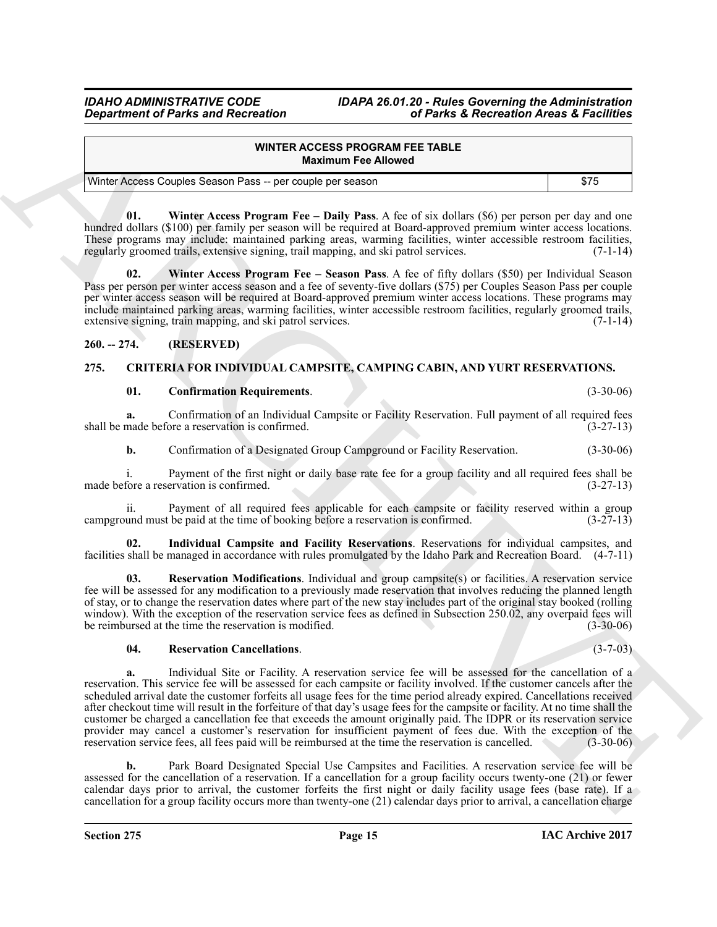| WINTER ACCESS PROGRAM FEE TABLE<br><b>Maximum Fee Allowed</b> |      |
|---------------------------------------------------------------|------|
| Winter Access Couples Season Pass -- per couple per season    | \$75 |

<span id="page-14-7"></span>**01. Winter Access Program Fee – Daily Pass**. A fee of six dollars (\$6) per person per day and one hundred dollars (\$100) per family per season will be required at Board-approved premium winter access locations. These programs may include: maintained parking areas, warming facilities, winter accessible restroom facilities, regularly groomed trails, extensive signing, trail mapping, and ski patrol services. (7-1-14) regularly groomed trails, extensive signing, trail mapping, and ski patrol services.

**02. Winter Access Program Fee – Season Pass**. A fee of fifty dollars (\$50) per Individual Season Pass per person per winter access season and a fee of seventy-five dollars (\$75) per Couples Season Pass per couple per winter access season will be required at Board-approved premium winter access locations. These programs may include maintained parking areas, warming facilities, winter accessible restroom facilities, regularly groomed trails, extensive signing, train mapping, and ski patrol services.

# <span id="page-14-0"></span>**260. -- 274. (RESERVED)**

# <span id="page-14-1"></span>**275. CRITERIA FOR INDIVIDUAL CAMPSITE, CAMPING CABIN, AND YURT RESERVATIONS.**

#### <span id="page-14-8"></span><span id="page-14-3"></span><span id="page-14-2"></span>**01. Confirmation Requirements**. (3-30-06)

**a.** Confirmation of an Individual Campsite or Facility Reservation. Full payment of all required fees made before a reservation is confirmed. shall be made before a reservation is confirmed.

**b.** Confirmation of a Designated Group Campground or Facility Reservation. (3-30-06)

i. Payment of the first night or daily base rate fee for a group facility and all required fees shall be made before a reservation is confirmed. (3-27-13)

ii. Payment of all required fees applicable for each campsite or facility reserved within a group und must be paid at the time of booking before a reservation is confirmed. (3-27-13) campground must be paid at the time of booking before a reservation is confirmed.

<span id="page-14-4"></span>**02. Individual Campsite and Facility Reservations**. Reservations for individual campsites, and facilities shall be managed in accordance with rules promulgated by the Idaho Park and Recreation Board. (4-7-11)

<span id="page-14-6"></span>**03. Reservation Modifications**. Individual and group campsite(s) or facilities. A reservation service fee will be assessed for any modification to a previously made reservation that involves reducing the planned length of stay, or to change the reservation dates where part of the new stay includes part of the original stay booked (rolling window). With the exception of the reservation service fees as defined in Subsection 250.02, any overpaid fees will<br>be reimbursed at the time the reservation is modified. (3-30-06) be reimbursed at the time the reservation is modified.

### <span id="page-14-5"></span>**04. Reservation Cancellations**. (3-7-03)

**Constrained of Parks and Recreation and Constraine and Realty Recreation Area & Sections<br>
WHERE ARCHIVES ACCESS PRODUCE TRANSIT (ACCESS PRODUCE TRANSIT (200) 1376<br>
Where Area Constrained Schwarz For the United Schwarz Co a.** Individual Site or Facility. A reservation service fee will be assessed for the cancellation of a reservation. This service fee will be assessed for each campsite or facility involved. If the customer cancels after the scheduled arrival date the customer forfeits all usage fees for the time period already expired. Cancellations received after checkout time will result in the forfeiture of that day's usage fees for the campsite or facility. At no time shall the customer be charged a cancellation fee that exceeds the amount originally paid. The IDPR or its reservation service provider may cancel a customer's reservation for insufficient payment of fees due. With the exception of the reservation service fees. all fees paid will be reimbursed at the time the reservation is cancelled. (3-30-06) reservation service fees, all fees paid will be reimbursed at the time the reservation is cancelled.

**b.** Park Board Designated Special Use Campsites and Facilities. A reservation service fee will be assessed for the cancellation of a reservation. If a cancellation for a group facility occurs twenty-one (21) or fewer calendar days prior to arrival, the customer forfeits the first night or daily facility usage fees (base rate). If a cancellation for a group facility occurs more than twenty-one (21) calendar days prior to arrival, a cancellation charge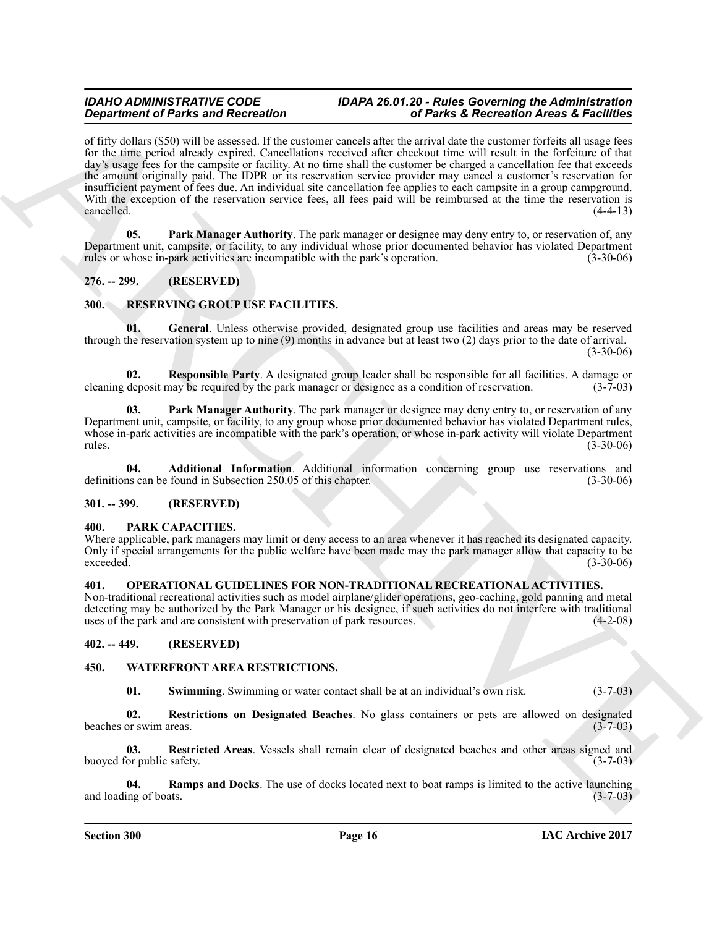**Significant of Paint and Recording the column cannot and a Pharcha is Recording to the anti-significant of Paint and Recording to the significant of the significant of the significant of the significant of the significan** of fifty dollars (\$50) will be assessed. If the customer cancels after the arrival date the customer forfeits all usage fees for the time period already expired. Cancellations received after checkout time will result in the forfeiture of that day's usage fees for the campsite or facility. At no time shall the customer be charged a cancellation fee that exceeds the amount originally paid. The IDPR or its reservation service provider may cancel a customer's reservation for insufficient payment of fees due. An individual site cancellation fee applies to each campsite in a group campground. With the exception of the reservation service fees, all fees paid will be reimbursed at the time the reservation is cancelled. (4-4-13) cancelled. (4-4-13)

<span id="page-15-7"></span>**05. Park Manager Authority**. The park manager or designee may deny entry to, or reservation of, any Department unit, campsite, or facility, to any individual whose prior documented behavior has violated Department rules or whose in-park activities are incompatible with the park's operation. (3-30-06)

# <span id="page-15-0"></span>**276. -- 299. (RESERVED)**

# <span id="page-15-10"></span><span id="page-15-1"></span>**300. RESERVING GROUP USE FACILITIES.**

<span id="page-15-12"></span>**01. General**. Unless otherwise provided, designated group use facilities and areas may be reserved through the reservation system up to nine (9) months in advance but at least two (2) days prior to the date of arrival.

 $(3-30-06)$ 

<span id="page-15-14"></span>**02. Responsible Party**. A designated group leader shall be responsible for all facilities. A damage or deposit may be required by the park manager or designee as a condition of reservation. (3-7-03) cleaning deposit may be required by the park manager or designee as a condition of reservation.

<span id="page-15-13"></span>**03. Park Manager Authority**. The park manager or designee may deny entry to, or reservation of any Department unit, campsite, or facility, to any group whose prior documented behavior has violated Department rules, whose in-park activities are incompatible with the park's operation, or whose in-park activity will violate Department rules. (3-30-06) rules. (3-30-06)

<span id="page-15-11"></span>**04. Additional Information**. Additional information concerning group use reservations and definitions can be found in Subsection 250.05 of this chapter. (3-30-06)

### <span id="page-15-2"></span>**301. -- 399. (RESERVED)**

#### <span id="page-15-9"></span><span id="page-15-3"></span>**400. PARK CAPACITIES.**

Where applicable, park managers may limit or deny access to an area whenever it has reached its designated capacity. Only if special arrangements for the public welfare have been made may the park manager allow that capacity to be exceeded. (3-30-06) exceeded. (3-30-06)

#### <span id="page-15-8"></span><span id="page-15-4"></span>**401. OPERATIONAL GUIDELINES FOR NON-TRADITIONAL RECREATIONAL ACTIVITIES.**

Non-traditional recreational activities such as model airplane/glider operations, geo-caching, gold panning and metal detecting may be authorized by the Park Manager or his designee, if such activities do not interfere with traditional uses of the park and are consistent with preservation of park resources. (4-2-08) uses of the park and are consistent with preservation of park resources.

### <span id="page-15-5"></span>**402. -- 449. (RESERVED)**

### <span id="page-15-6"></span>**450. WATERFRONT AREA RESTRICTIONS.**

<span id="page-15-19"></span><span id="page-15-18"></span><span id="page-15-17"></span><span id="page-15-15"></span>**01.** Swimming. Swimming or water contact shall be at an individual's own risk.  $(3-7-03)$ 

**02. Restrictions on Designated Beaches**. No glass containers or pets are allowed on designated beaches or swim areas.

**03.** Restricted Areas. Vessels shall remain clear of designated beaches and other areas signed and or public safety. (3-7-03) buoyed for public safety.

<span id="page-15-16"></span>**04.** Ramps and Docks. The use of docks located next to boat ramps is limited to the active launching ng of boats. (3-7-03) and loading of boats.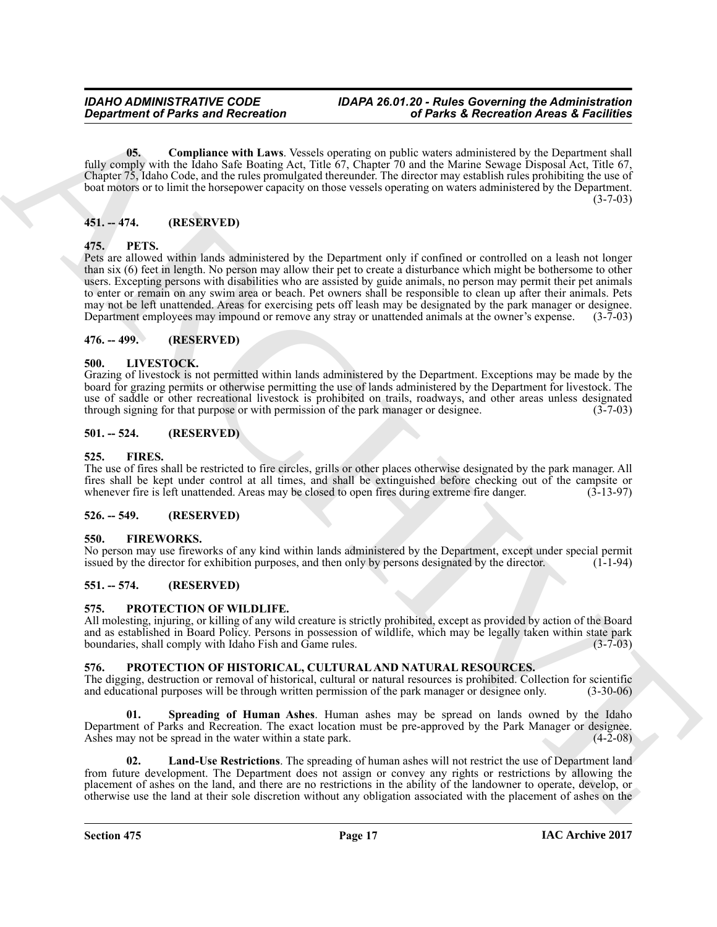<span id="page-16-19"></span>**05. Compliance with Laws**. Vessels operating on public waters administered by the Department shall fully comply with the Idaho Safe Boating Act, Title 67, Chapter 70 and the Marine Sewage Disposal Act, Title 67, Chapter 75, Idaho Code, and the rules promulgated thereunder. The director may establish rules prohibiting the use of boat motors or to limit the horsepower capacity on those vessels operating on waters administered by the Department.  $(3 - 7 - 03)$ 

# <span id="page-16-0"></span>**451. -- 474. (RESERVED)**

#### <span id="page-16-14"></span><span id="page-16-1"></span>**475. PETS.**

Government of Parks and Recreation<br>
(6) the same forces that the same star like to consider a particle with some particle with the same star like the same star like to the same star like to the same star like to the same Pets are allowed within lands administered by the Department only if confined or controlled on a leash not longer than six (6) feet in length. No person may allow their pet to create a disturbance which might be bothersome to other users. Excepting persons with disabilities who are assisted by guide animals, no person may permit their pet animals to enter or remain on any swim area or beach. Pet owners shall be responsible to clean up after their animals. Pets may not be left unattended. Areas for exercising pets off leash may be designated by the park manager or designee. Department employees may impound or remove any stray or unattended animals at the owner's expense. (3-7-03)

### <span id="page-16-2"></span>**476. -- 499. (RESERVED)**

#### <span id="page-16-13"></span><span id="page-16-3"></span>**500. LIVESTOCK.**

Grazing of livestock is not permitted within lands administered by the Department. Exceptions may be made by the board for grazing permits or otherwise permitting the use of lands administered by the Department for livestock. The use of saddle or other recreational livestock is prohibited on trails, roadways, and other areas unless designated<br>through signing for that purpose or with permission of the park manager or designee. (3-7-03) through signing for that purpose or with permission of the park manager or designee.

#### <span id="page-16-4"></span>**501. -- 524. (RESERVED)**

#### <span id="page-16-11"></span><span id="page-16-5"></span>**525. FIRES.**

The use of fires shall be restricted to fire circles, grills or other places otherwise designated by the park manager. All fires shall be kept under control at all times, and shall be extinguished before checking out of the campsite or whenever fire is left unattended. Areas may be closed to open fires during extreme fire danger. (3-13-97) whenever fire is left unattended. Areas may be closed to open fires during extreme fire danger.

### <span id="page-16-6"></span>**526. -- 549. (RESERVED)**

#### <span id="page-16-12"></span><span id="page-16-7"></span>**550. FIREWORKS.**

No person may use fireworks of any kind within lands administered by the Department, except under special permit issued by the director for exhibition purposes, and then only by persons designated by the director. (1-1-94)

### <span id="page-16-8"></span>**551. -- 574. (RESERVED)**

#### <span id="page-16-18"></span><span id="page-16-9"></span>**575. PROTECTION OF WILDLIFE.**

All molesting, injuring, or killing of any wild creature is strictly prohibited, except as provided by action of the Board and as established in Board Policy. Persons in possession of wildlife, which may be legally taken within state park<br>boundaries, shall comply with Idaho Fish and Game rules. (3-7-03) boundaries, shall comply with Idaho Fish and Game rules.

#### <span id="page-16-15"></span><span id="page-16-10"></span>**576. PROTECTION OF HISTORICAL, CULTURAL AND NATURAL RESOURCES.**

The digging, destruction or removal of historical, cultural or natural resources is prohibited. Collection for scientific and educational purposes will be through written permission of the park manager or designee only. (3-30-06)

<span id="page-16-17"></span>**Spreading of Human Ashes**. Human ashes may be spread on lands owned by the Idaho Department of Parks and Recreation. The exact location must be pre-approved by the Park Manager or designee. Ashes may not be spread in the water within a state park. (4-2-08)

<span id="page-16-16"></span>**02. Land-Use Restrictions**. The spreading of human ashes will not restrict the use of Department land from future development. The Department does not assign or convey any rights or restrictions by allowing the placement of ashes on the land, and there are no restrictions in the ability of the landowner to operate, develop, or otherwise use the land at their sole discretion without any obligation associated with the placement of ashes on the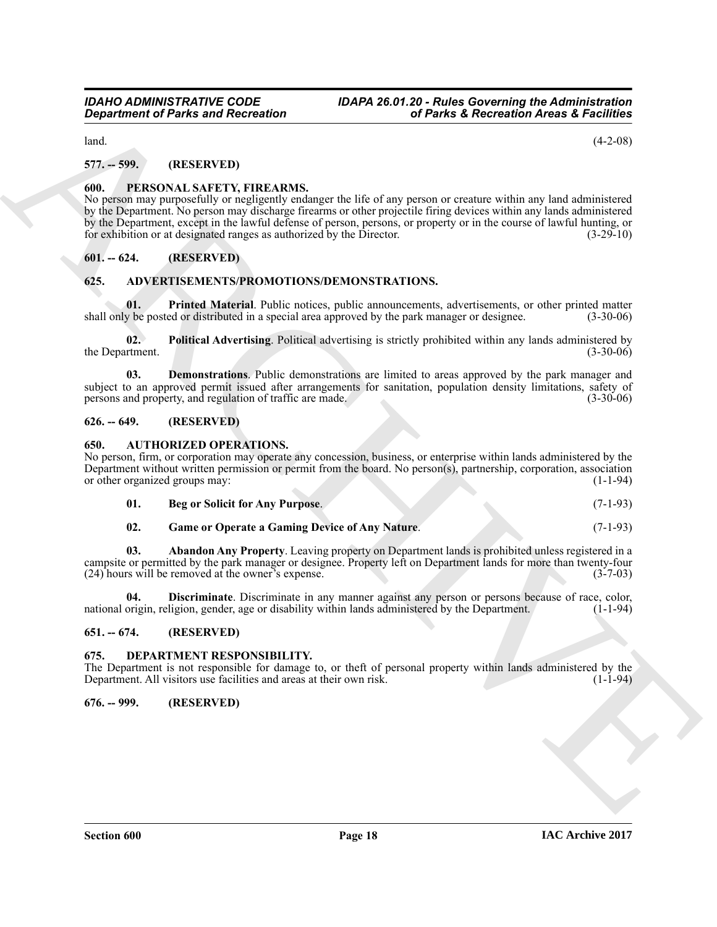$\mu$ land.  $(4-2-08)$ 

# <span id="page-17-0"></span>**577. -- 599. (RESERVED)**

# <span id="page-17-15"></span><span id="page-17-1"></span>**600. PERSONAL SAFETY, FIREARMS.**

Government of Parks and Recreation<br>
16 Parks 2. Recreation (4-2-0)<br>
161. The CoNNA Context of Parks 2. Recreation (4-2-0)<br>
161. The CoNNA Context of the Connective State of the Connective State of the Connective State of No person may purposefully or negligently endanger the life of any person or creature within any land administered by the Department. No person may discharge firearms or other projectile firing devices within any lands administered by the Department, except in the lawful defense of person, persons, or property or in the course of lawful hunting, or for exhibition or at designated ranges as authorized by the Director. (3-29-10)

### <span id="page-17-2"></span>**601. -- 624. (RESERVED)**

#### <span id="page-17-9"></span><span id="page-17-3"></span>**625. ADVERTISEMENTS/PROMOTIONS/DEMONSTRATIONS.**

<span id="page-17-12"></span>**01.** Printed Material. Public notices, public announcements, advertisements, or other printed matter shall only be posted or distributed in a special area approved by the park manager or designee. (3-30-06)

<span id="page-17-11"></span>**02. Political Advertising**. Political advertising is strictly prohibited within any lands administered by the Department. (3-30-06)

<span id="page-17-10"></span>**03. Demonstrations**. Public demonstrations are limited to areas approved by the park manager and subject to an approved permit issued after arrangements for sanitation, population density limitations, safety of persons and property, and regulation of traffic are made. (3-30-06) persons and property, and regulation of traffic are made.

#### <span id="page-17-4"></span>**626. -- 649. (RESERVED)**

#### <span id="page-17-13"></span><span id="page-17-5"></span>**650. AUTHORIZED OPERATIONS.**

No person, firm, or corporation may operate any concession, business, or enterprise within lands administered by the Department without written permission or permit from the board. No person(s), partnership, corporation, association or other organized groups may: (1-1-94) or other organized groups may:

| Beg or Solicit for Any Purpose. | $(7-1-93)$ |
|---------------------------------|------------|
|                                 |            |

**02. Game or Operate a Gaming Device of Any Nature**. (7-1-93)

**03. Abandon Any Property**. Leaving property on Department lands is prohibited unless registered in a campsite or permitted by the park manager or designee. Property left on Department lands for more than twenty-four (24) hours will be removed at the owner's expense.  $(24)$  hours will be removed at the owner's expense.

**04. Discriminate**. Discriminate in any manner against any person or persons because of race, color, origin. religion. gender, age or disability within lands administered by the Department. (1-1-94) national origin, religion, gender, age or disability within lands administered by the Department.

#### <span id="page-17-6"></span>**651. -- 674. (RESERVED)**

#### <span id="page-17-14"></span><span id="page-17-7"></span>**675. DEPARTMENT RESPONSIBILITY.**

The Department is not responsible for damage to, or theft of personal property within lands administered by the Department. All visitors use facilities and areas at their own risk. Department. All visitors use facilities and areas at their own risk.

<span id="page-17-8"></span>**676. -- 999. (RESERVED)**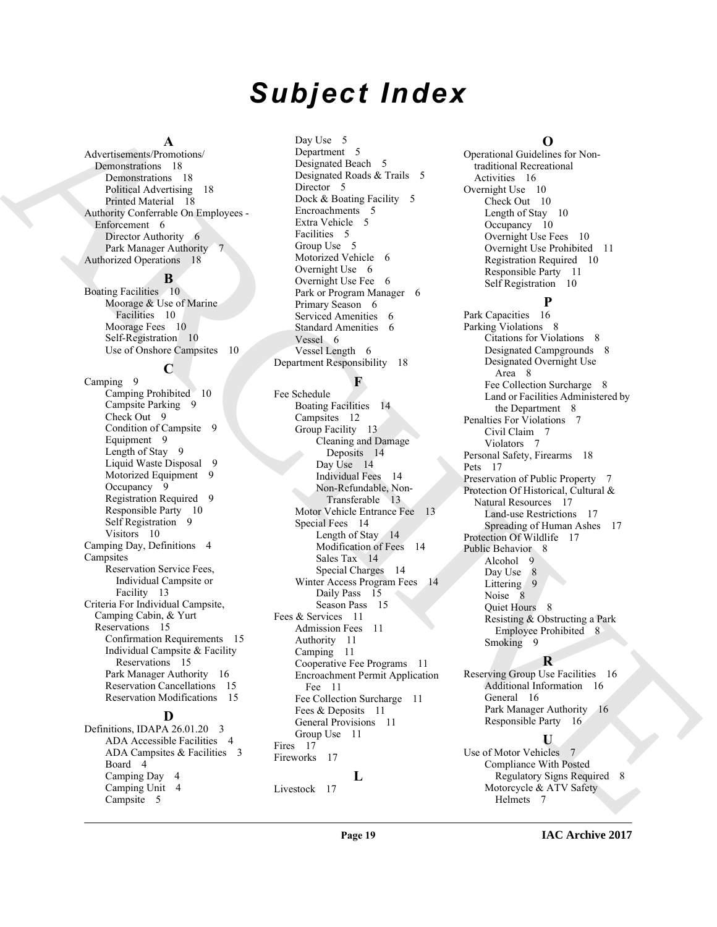# *Subject Index*

#### **A**

Advertisements/Promotions/ Demonstrations 18 Demonstrations 18 Political Advertising 18 Printed Material 18 Authority Conferrable On Employees - Enforcement 6 Director Authority 6 Park Manager Authority 7 Authorized Operations 18

# **B**

Boating Facilities 10 Moorage & Use of Marine Facilities 10 Moorage Fees 10 Self-Registration 10 Use of Onshore Campsites 10

# **C**

Camping 9 Camping Prohibited 10 Campsite Parking 9 Check Out 9 Condition of Campsite 9 Equipment 9 Length of Stay 9 Liquid Waste Disposal 9 Motorized Equipment 9 Occupancy 9 Registration Required 9 Responsible Party 10 Self Registration 9 Visitors 10 Camping Day, Definitions 4 **Campsites** Reservation Service Fees, Individual Campsite or Facility 13 Criteria For Individual Campsite, Camping Cabin, & Yurt Reservations 15 Confirmation Requirements 15 Individual Campsite & Facility Reservations 15 Park Manager Authority 16 Reservation Cancellations 15 Reservation Modifications 15

#### **D**

Definitions, IDAPA 26.01.20 3 ADA Accessible Facilities 4 ADA Campsites & Facilities 3 Board 4 Camping Day 4 Camping Unit 4 Campsite 5

Day Use 5 Department 5 Designated Beach 5 Designated Roads & Trails 5 Director 5 Dock & Boating Facility 5 Encroachments 5 Extra Vehicle 5 Facilities 5 Group Use 5 Motorized Vehicle 6 Overnight Use 6 Overnight Use Fee 6 Park or Program Manager 6 Primary Season 6 Serviced Amenities 6 Standard Amenities 6 Vessel 6 Vessel Length 6 Department Responsibility 18

### **F**

[AR](#page-5-2)[CH](#page-13-6)[IV](#page-7-13)[E](#page-7-14) Fee Schedule Boating Facilities 14 Campsites 12 Group Facility 13 Cleaning and Damage Deposits 14 Day Use 14 Individual Fees 14 Non-Refundable, Non-Transferable 13 Motor Vehicle Entrance Fee 13 Special Fees 14 Length of Stay 14 Modification of Fees 14 Sales Tax 14 Special Charges 14 Winter Access Program Fees 14 Daily Pass 15 Season Pass 15 Fees & Services 11 Admission Fees 11 Authority 11 Camping 11 Cooperative Fee Programs 11 Encroachment Permit Application Fee 11 Fee Collection Surcharge 11 Fees & Deposits 11 General Provisions 11 Group Use 11 Fires 17 Fireworks 17 **L** Livestock 17

### **O**

Operational Guidelines for Nontraditional Recreational Activities 16 Overnight Use 10 Check Out 10 Length of Stay 10 Occupancy 10 Overnight Use Fees 10 Overnight Use Prohibited 11 Registration Required 10 Responsible Party 11 Self Registration 10

# **P**

Park Capacities 16 Parking Violations 8 Citations for Violations 8 Designated Campgrounds 8 Designated Overnight Use Area 8 Fee Collection Surcharge 8 Land or Facilities Administered by the Department 8 Penalties For Violations 7 Civil Claim 7 Violators 7 Personal Safety, Firearms 18 Pets 17 Preservation of Public Property 7 Protection Of Historical, Cultural & Natural Resources 17 Land-use Restrictions 17 Spreading of Human Ashes 17 Protection Of Wildlife 17 Public Behavior 8 Alcohol 9 Day Use 8 Littering 9 Noise 8 Quiet Hours 8 Resisting & Obstructing a Park Employee Prohibited 8 Smoking 9

# **R**

Reserving Group Use Facilities 16 Additional Information 16 General 16 Park Manager Authority 16 Responsible Party 16

# **U**

Use of Motor Vehicles 7 Compliance With Posted Regulatory Signs Required 8 Motorcycle & ATV Safety Helmets 7